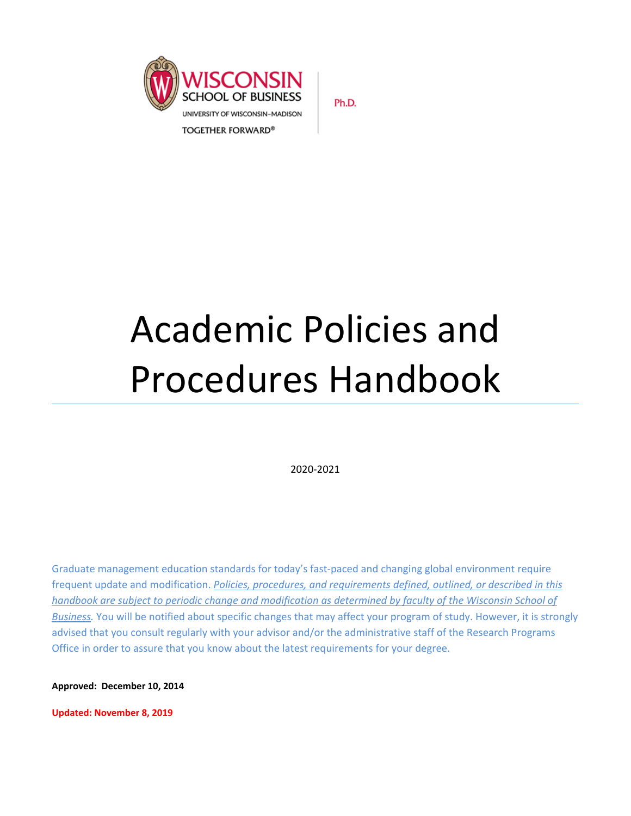

Ph.D.

# Academic Policies and Procedures Handbook

2020-2021

Graduate management education standards for today's fast-paced and changing global environment require frequent update and modification. *Policies, procedures, and requirements defined, outlined, or described in this handbook are subject to periodic change and modification as determined by faculty of the Wisconsin School of Business.* You will be notified about specific changes that may affect your program of study. However, it is strongly advised that you consult regularly with your advisor and/or the administrative staff of the Research Programs Office in order to assure that you know about the latest requirements for your degree.

**Approved: December 10, 2014**

**Updated: November 8, 2019**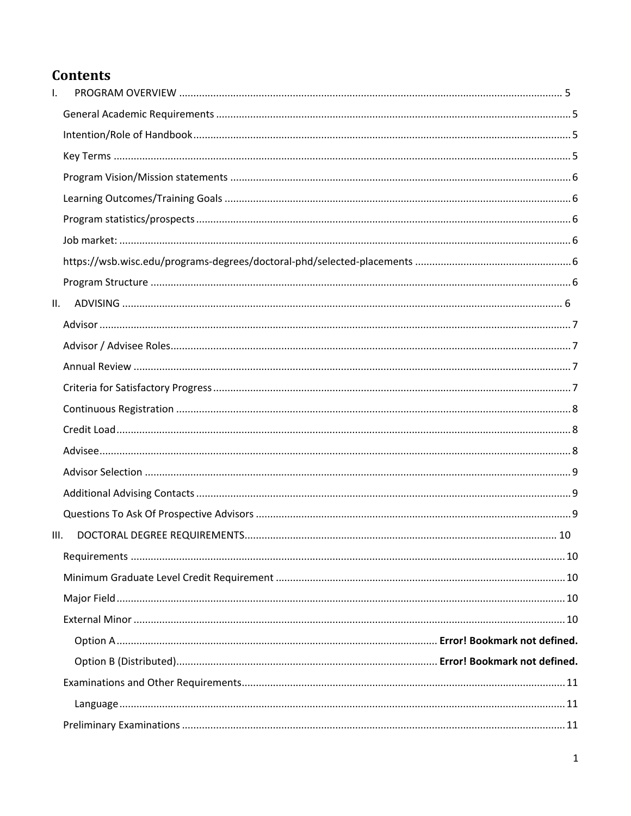# **Contents**

| I.   |  |
|------|--|
|      |  |
|      |  |
|      |  |
|      |  |
|      |  |
|      |  |
|      |  |
|      |  |
|      |  |
| ΙΙ.  |  |
|      |  |
|      |  |
|      |  |
|      |  |
|      |  |
|      |  |
|      |  |
|      |  |
|      |  |
|      |  |
| III. |  |
|      |  |
|      |  |
|      |  |
|      |  |
|      |  |
|      |  |
|      |  |
|      |  |
|      |  |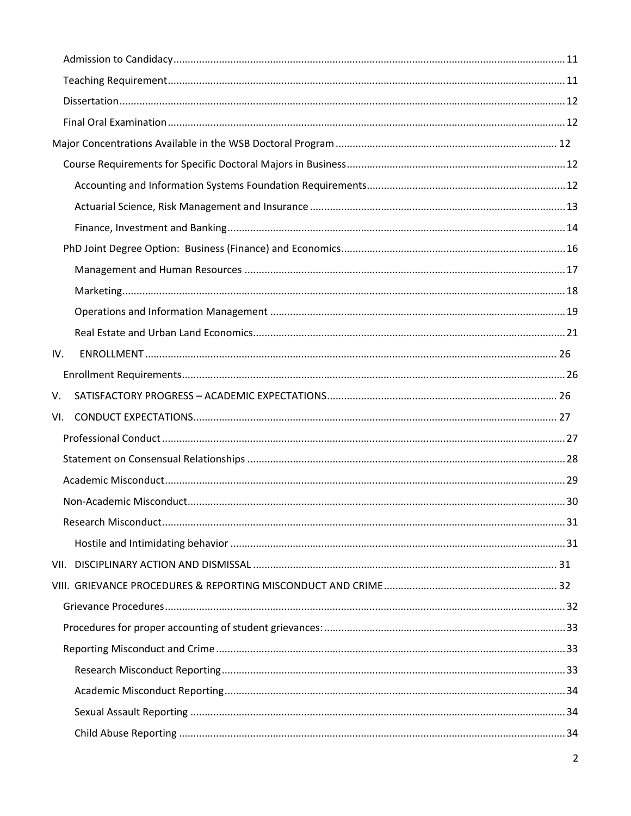| IV. |  |
|-----|--|
|     |  |
| V.  |  |
| VI. |  |
|     |  |
|     |  |
|     |  |
|     |  |
|     |  |
|     |  |
|     |  |
|     |  |
|     |  |
|     |  |
|     |  |
|     |  |
|     |  |
|     |  |
|     |  |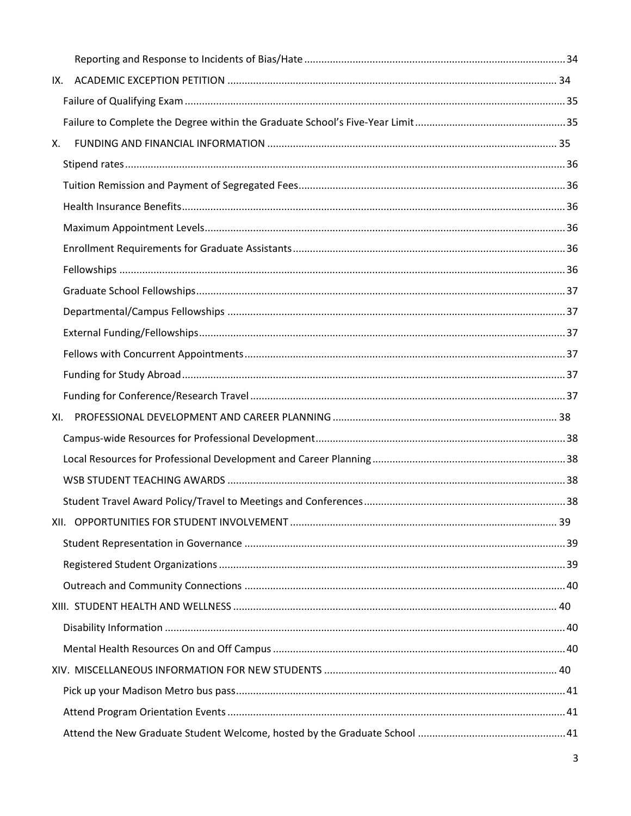| IX. |  |
|-----|--|
|     |  |
|     |  |
| X.  |  |
|     |  |
|     |  |
|     |  |
|     |  |
|     |  |
|     |  |
|     |  |
|     |  |
|     |  |
|     |  |
|     |  |
|     |  |
| XI. |  |
|     |  |
|     |  |
|     |  |
|     |  |
|     |  |
|     |  |
|     |  |
|     |  |
|     |  |
|     |  |
|     |  |
|     |  |
|     |  |
|     |  |
|     |  |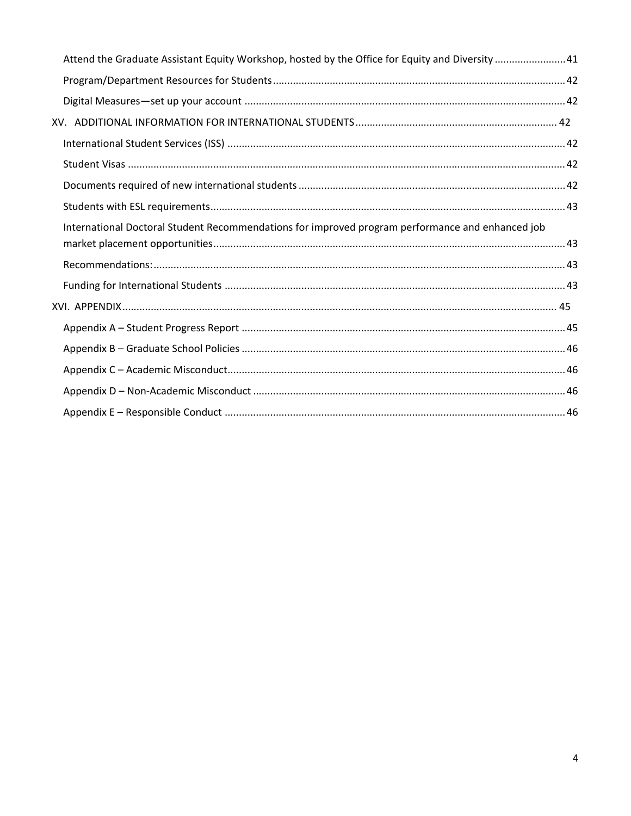| Attend the Graduate Assistant Equity Workshop, hosted by the Office for Equity and Diversity 41  |  |
|--------------------------------------------------------------------------------------------------|--|
|                                                                                                  |  |
|                                                                                                  |  |
|                                                                                                  |  |
|                                                                                                  |  |
|                                                                                                  |  |
|                                                                                                  |  |
|                                                                                                  |  |
| International Doctoral Student Recommendations for improved program performance and enhanced job |  |
|                                                                                                  |  |
|                                                                                                  |  |
|                                                                                                  |  |
|                                                                                                  |  |
|                                                                                                  |  |
|                                                                                                  |  |
|                                                                                                  |  |
|                                                                                                  |  |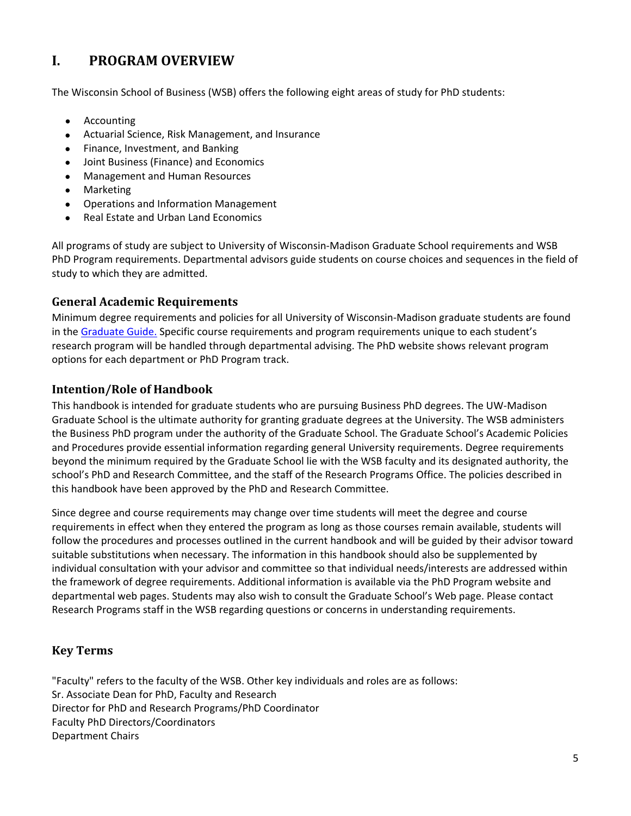# <span id="page-5-0"></span>**I. PROGRAM OVERVIEW**

The Wisconsin School of Business (WSB) offers the following eight areas of study for PhD students:

- [Accounting](http://bus.wisc.edu/PhD/Program-Overview/Areas-Requirements/Accounting)
- [Actuarial Science, Risk Management, and](http://bus.wisc.edu/PhD/Program-Overview/Areas-Requirements/Actuarial-Science-Risk-Management-Insurance) Insurance
- [Finance, Investment, and Banking](http://bus.wisc.edu/PhD/Program-Overview/Areas-Requirements/Finance)
- Joint Business (Finance) and Economics
- [Management and Human Resources](http://bus.wisc.edu/PhD/Program-Overview/Areas-Requirements/Management)
- **[Marketing](http://bus.wisc.edu/PhD/Program-Overview/Areas-Requirements/Marketing)**
- [Operations and Information Management](http://bus.wisc.edu/PhD/Program-Overview/Areas-Requirements/Operations-Information-Management)
- [Real Estate and Urban Land Economics](http://bus.wisc.edu/PhD/Program-Overview/Areas-Requirements/Real-Estate)

All programs of study are subject to University of Wisconsin-Madison Graduate School requirements and WSB PhD Program requirements. Departmental advisors guide students on course choices and sequences in the field of study to which they are admitted.

## <span id="page-5-1"></span>**General Academic Requirements**

Minimum degree requirements and policies for all University of Wisconsin-Madison graduate students are found in the [Graduate Guide.](http://guide.wisc.edu/graduate/) Specific course requirements and program requirements unique to each student's research program will be handled through departmental advising. The PhD website shows relevant program options for each department or PhD Program track.

## <span id="page-5-2"></span>**Intention/Role of Handbook**

This handbook is intended for graduate students who are pursuing Business PhD degrees. The UW-Madison Graduate School is the ultimate authority for granting graduate degrees at the University. The WSB administers the Business PhD program under the authority of the Graduate School. The Graduate School's Academic Policies and Procedures provide essential information regarding general University requirements. Degree requirements beyond the minimum required by the Graduate School lie with the WSB faculty and its designated authority, the school's PhD and Research Committee, and the staff of the Research Programs Office. The policies described in this handbook have been approved by the PhD and Research Committee.

Since degree and course requirements may change over time students will meet the degree and course requirements in effect when they entered the program as long as those courses remain available, students will follow the procedures and processes outlined in the current handbook and will be guided by their advisor toward suitable substitutions when necessary. The information in this handbook should also be supplemented by individual consultation with your advisor and committee so that individual needs/interests are addressed within the framework of degree requirements. Additional information is available via the PhD Program website and departmental web pages. Students may also wish to consult the Graduate School's Web page. Please contact Research Programs staff in the WSB regarding questions or concerns in understanding requirements.

# <span id="page-5-3"></span>**Key Terms**

"Faculty" refers to the faculty of the WSB. Other key individuals and roles are as follows: Sr. Associate Dean for PhD, Faculty and Research Director for PhD and Research Programs/PhD Coordinator Faculty PhD Directors/Coordinators Department Chairs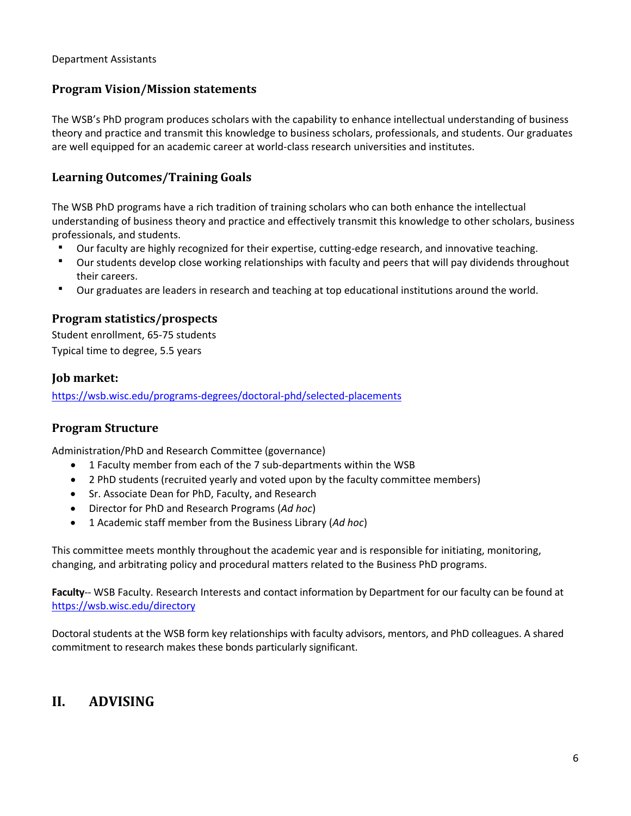#### Department Assistants

## <span id="page-6-0"></span>**Program Vision/Mission statements**

The WSB's PhD program produces scholars with the capability to enhance intellectual understanding of business theory and practice and transmit this knowledge to business scholars, professionals, and students. Our graduates are well equipped for an academic career at world-class research universities and institutes.

## <span id="page-6-1"></span>**Learning Outcomes/Training Goals**

The WSB PhD programs have a rich tradition of training scholars who can both enhance the intellectual understanding of business theory and practice and effectively transmit this knowledge to other scholars, business professionals, and students.

- Our faculty are highly recognized for their expertise, cutting-edge research, and innovative teaching.
- Our students develop close working relationships with faculty and peers that will pay dividends throughout their careers.
- Our graduates are leaders in research and teaching at top educational institutions around the world.

## <span id="page-6-2"></span>**Program statistics/prospects**

Student enrollment, 65-75 students Typical time to degree, 5.5 years

#### <span id="page-6-3"></span>**Job market:**

<span id="page-6-4"></span><https://wsb.wisc.edu/programs-degrees/doctoral-phd/selected-placements>

#### <span id="page-6-5"></span>**Program Structure**

Administration/PhD and Research Committee (governance)

- 1 Faculty member from each of the 7 sub-departments within the WSB
- 2 PhD students (recruited yearly and voted upon by the faculty committee members)
- Sr. Associate Dean for PhD, Faculty, and Research
- Director for PhD and Research Programs (*Ad hoc*)
- 1 Academic staff member from the Business Library (*Ad hoc*)

This committee meets monthly throughout the academic year and is responsible for initiating, monitoring, changing, and arbitrating policy and procedural matters related to the Business PhD programs.

**Faculty**-- WSB Faculty. Research Interests and contact information by Department for our faculty can be found at <https://wsb.wisc.edu/directory>

Doctoral students at the WSB form key relationships with faculty advisors, mentors, and PhD colleagues. A shared commitment to research makes these bonds particularly significant.

# <span id="page-6-6"></span>**II. ADVISING**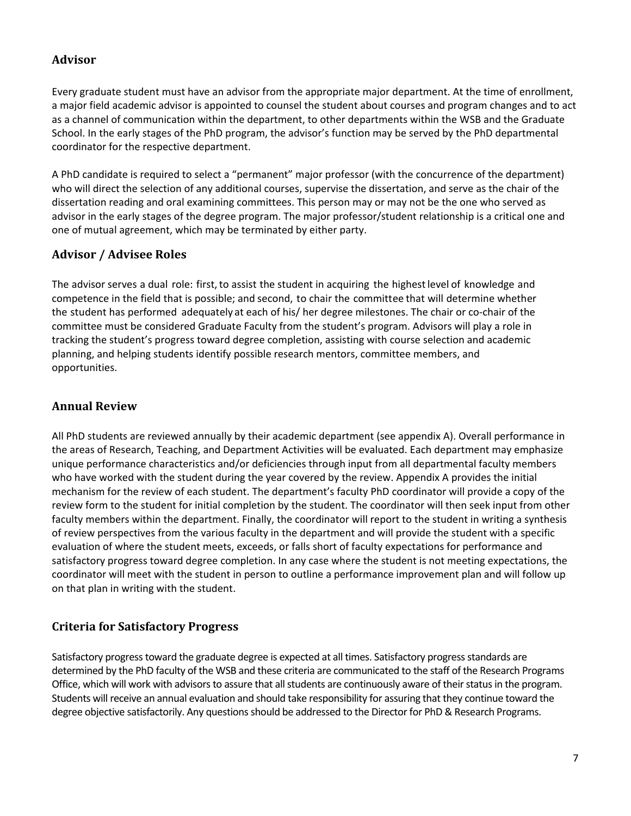# <span id="page-7-0"></span>**Advisor**

Every graduate student must have an advisor from the appropriate major department. At the time of enrollment, a major field academic advisor is appointed to counsel the student about courses and program changes and to act as a channel of communication within the department, to other departments within the WSB and the Graduate School. In the early stages of the PhD program, the advisor's function may be served by the PhD departmental coordinator for the respective department.

A PhD candidate is required to select a "permanent" major professor (with the concurrence of the department) who will direct the selection of any additional courses, supervise the dissertation, and serve as the chair of the dissertation reading and oral examining committees. This person may or may not be the one who served as advisor in the early stages of the degree program. The major professor/student relationship is a critical one and one of mutual agreement, which may be terminated by either party.

# <span id="page-7-1"></span>**Advisor / Advisee Roles**

The advisor serves a dual role: first, to assist the student in acquiring the highest level of knowledge and competence in the field that is possible; and second, to chair the committee that will determine whether the student has performed adequately at each of his/ her degree milestones. The chair or co-chair of the committee must be considered Graduate Faculty from the student's program. Advisors will play a role in tracking the student's progress toward degree completion, assisting with course selection and academic planning, and helping students identify possible research mentors, committee members, and opportunities.

# <span id="page-7-2"></span>**Annual Review**

All PhD students are reviewed annually by their academic department (see appendix A). Overall performance in the areas of Research, Teaching, and Department Activities will be evaluated. Each department may emphasize unique performance characteristics and/or deficiencies through input from all departmental faculty members who have worked with the student during the year covered by the review. Appendix A provides the initial mechanism for the review of each student. The department's faculty PhD coordinator will provide a copy of the review form to the student for initial completion by the student. The coordinator will then seek input from other faculty members within the department. Finally, the coordinator will report to the student in writing a synthesis of review perspectives from the various faculty in the department and will provide the student with a specific evaluation of where the student meets, exceeds, or falls short of faculty expectations for performance and satisfactory progress toward degree completion. In any case where the student is not meeting expectations, the coordinator will meet with the student in person to outline a performance improvement plan and will follow up on that plan in writing with the student.

# <span id="page-7-3"></span>**Criteria for Satisfactory Progress**

Satisfactory progress toward the graduate degree is expected at all times. Satisfactory progress standards are determined by the PhD faculty of the WSB and these criteria are communicated to the staff of the Research Programs Office, which will work with advisors to assure that all students are continuously aware of their status in the program. Students will receive an annual evaluation and should take responsibility for assuring that they continue toward the degree objective satisfactorily. Any questions should be addressed to the Director for PhD & Research Programs.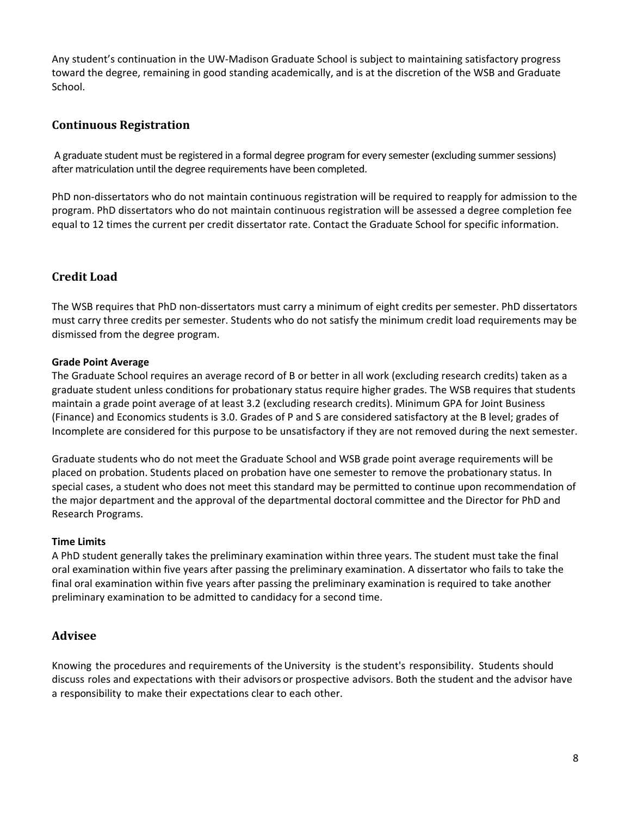Any student's continuation in the UW-Madison Graduate School is subject to maintaining satisfactory progress toward the degree, remaining in good standing academically, and is at the discretion of the WSB and Graduate School.

# <span id="page-8-0"></span>**Continuous Registration**

A graduate student must be registered in a formal degree program for every semester (excluding summer sessions) after matriculation until the degree requirements have been completed.

PhD non-dissertators who do not maintain continuous registration will be required to reapply for admission to the program. PhD dissertators who do not maintain continuous registration will be assessed a degree completion fee equal to 12 times the current per credit dissertator rate. Contact the Graduate School for specific information.

# <span id="page-8-1"></span>**Credit Load**

The WSB requires that PhD non-dissertators must carry a minimum of eight credits per semester. PhD dissertators must carry three credits per semester. Students who do not satisfy the minimum credit load requirements may be dismissed from the degree program.

#### **Grade Point Average**

The Graduate School requires an average record of B or better in all work (excluding research credits) taken as a graduate student unless conditions for probationary status require higher grades. The WSB requires that students maintain a grade point average of at least 3.2 (excluding research credits). Minimum GPA for Joint Business (Finance) and Economics students is 3.0. Grades of P and S are considered satisfactory at the B level; grades of Incomplete are considered for this purpose to be unsatisfactory if they are not removed during the next semester.

Graduate students who do not meet the Graduate School and WSB grade point average requirements will be placed on probation. Students placed on probation have one semester to remove the probationary status. In special cases, a student who does not meet this standard may be permitted to continue upon recommendation of the major department and the approval of the departmental doctoral committee and the Director for PhD and Research Programs.

#### **Time Limits**

A PhD student generally takes the preliminary examination within three years. The student must take the final oral examination within five years after passing the preliminary examination. A dissertator who fails to take the final oral examination within five years after passing the preliminary examination is required to take another preliminary examination to be admitted to candidacy for a second time.

# <span id="page-8-2"></span>**Advisee**

Knowing the procedures and requirements of theUniversity is the student's responsibility. Students should discuss roles and expectations with their advisors or prospective advisors. Both the student and the advisor have a responsibility to make their expectations clear to each other.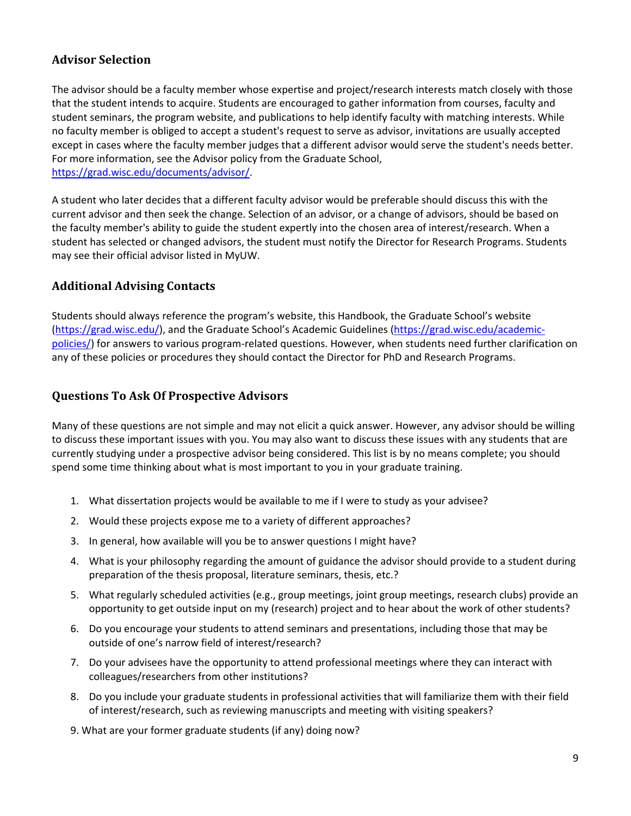# <span id="page-9-0"></span>**Advisor Selection**

The advisor should be a faculty member whose expertise and project/research interests match closely with those that the student intends to acquire. Students are encouraged to gather information from courses, faculty and student seminars, the program website, and publications to help identify faculty with matching interests. While no faculty member is obliged to accept a student's request to serve as advisor, invitations are usually accepted except in cases where the faculty member judges that a different advisor would serve the student's needs better. For more information, see the Advisor policy from the Graduate School, [https://grad.wisc.edu/documents/advisor/.](https://grad.wisc.edu/documents/advisor/)

A student who later decides that a different faculty advisor would be preferable should discuss this with the current advisor and then seek the change. Selection of an advisor, or a change of advisors, should be based on the faculty member's ability to guide the student expertly into the chosen area of interest/research. When a student has selected or changed advisors, the student must notify the Director for Research Programs. Students may see their official advisor listed in MyUW.

## <span id="page-9-1"></span>**Additional Advising Contacts**

Students should always reference the program's website, this Handbook, the Graduate School's website [\(https://grad.wisc.edu/\)](https://grad.wisc.edu/), and the Graduate School's Academic Guidelines [\(https://grad.wisc.edu/academic](https://grad.wisc.edu/academic-policies/)[policies/\)](https://grad.wisc.edu/academic-policies/) for answers to various program-related questions. However, when students need further clarification on any of these policies or procedures they should contact the Director for PhD and Research Programs.

#### <span id="page-9-2"></span>**Questions To Ask Of Prospective Advisors**

Many of these questions are not simple and may not elicit a quick answer. However, any advisor should be willing to discuss these important issues with you. You may also want to discuss these issues with any students that are currently studying under a prospective advisor being considered. This list is by no means complete; you should spend some time thinking about what is most important to you in your graduate training.

- 1. What dissertation projects would be available to me if I were to study as your advisee?
- 2. Would these projects expose me to a variety of different approaches?
- 3. In general, how available will you be to answer questions I might have?
- 4. What is your philosophy regarding the amount of guidance the advisor should provide to a student during preparation of the thesis proposal, literature seminars, thesis, etc.?
- 5. What regularly scheduled activities (e.g., group meetings, joint group meetings, research clubs) provide an opportunity to get outside input on my (research) project and to hear about the work of other students?
- 6. Do you encourage your students to attend seminars and presentations, including those that may be outside of one's narrow field of interest/research?
- 7. Do your advisees have the opportunity to attend professional meetings where they can interact with colleagues/researchers from other institutions?
- 8. Do you include your graduate students in professional activities that will familiarize them with their field of interest/research, such as reviewing manuscripts and meeting with visiting speakers?
- 9. What are your former graduate students (if any) doing now?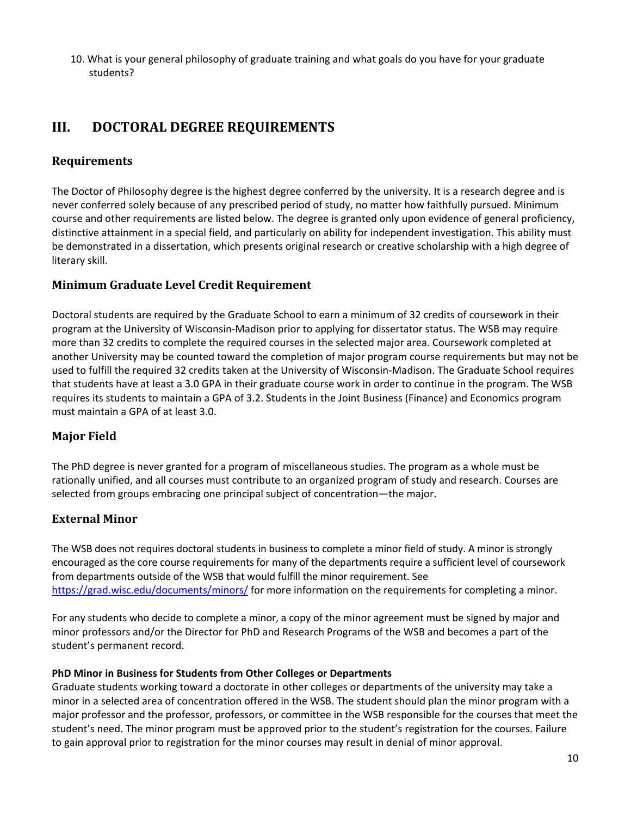10. What is your general philosophy of graduate training and what goals do you have for your graduate students?

# <span id="page-10-0"></span>**III. DOCTORAL DEGREE REQUIREMENTS**

# <span id="page-10-1"></span>**Requirements**

The Doctor of Philosophy degree is the highest degree conferred by the university. It is a research degree and is never conferred solely because of any prescribed period of study, no matter how faithfully pursued. Minimum course and other requirements are listed below. The degree is granted only upon evidence of general proficiency, distinctive attainment in a special field, and particularly on ability for independent investigation. This ability must be demonstrated in a dissertation, which presents original research or creative scholarship with a high degree of literary skill.

# <span id="page-10-2"></span>**Minimum Graduate Level Credit Requirement**

Doctoral students are required by the Graduate School to earn a minimum of 32 credits of coursework in their program at the University of Wisconsin-Madison prior to applying for dissertator status. The WSB may require more than 32 credits to complete the required courses in the selected major area. Coursework completed at another University may be counted toward the completion of major program course requirements but may not be used to fulfill the required 32 credits taken at the University of Wisconsin-Madison. The Graduate School requires that students have at least a 3.0 GPA in their graduate course work in order to continue in the program. The WSB requires its students to maintain a GPA of 3.2. Students in the Joint Business (Finance) and Economics program must maintain a GPA of at least 3.0.

# <span id="page-10-3"></span>**Major Field**

The PhD degree is never granted for a program of miscellaneous studies. The program as a whole must be rationally unified, and all courses must contribute to an organized program of study and research. Courses are selected from groups embracing one principal subject of concentration—the major.

# <span id="page-10-4"></span>**External Minor**

The WSB does not requires doctoral students in business to complete a minor field of study. A minor is strongly encouraged as the core course requirements for many of the departments require a sufficient level of coursework from departments outside of the WSB that would fulfill the minor requirement. See <https://grad.wisc.edu/documents/minors/> for more information on the requirements for completing a minor.

For any students who decide to complete a minor, a copy of the minor agreement must be signed by major and minor professors and/or the Director for PhD and Research Programs of the WSB and becomes a part of the student's permanent record.

#### **PhD Minor in Business for Students from Other Colleges or Departments**

Graduate students working toward a doctorate in other colleges or departments of the university may take a minor in a selected area of concentration offered in the WSB. The student should plan the minor program with a major professor and the professor, professors, or committee in the WSB responsible for the courses that meet the student's need. The minor program must be approved prior to the student's registration for the courses. Failure to gain approval prior to registration for the minor courses may result in denial of minor approval.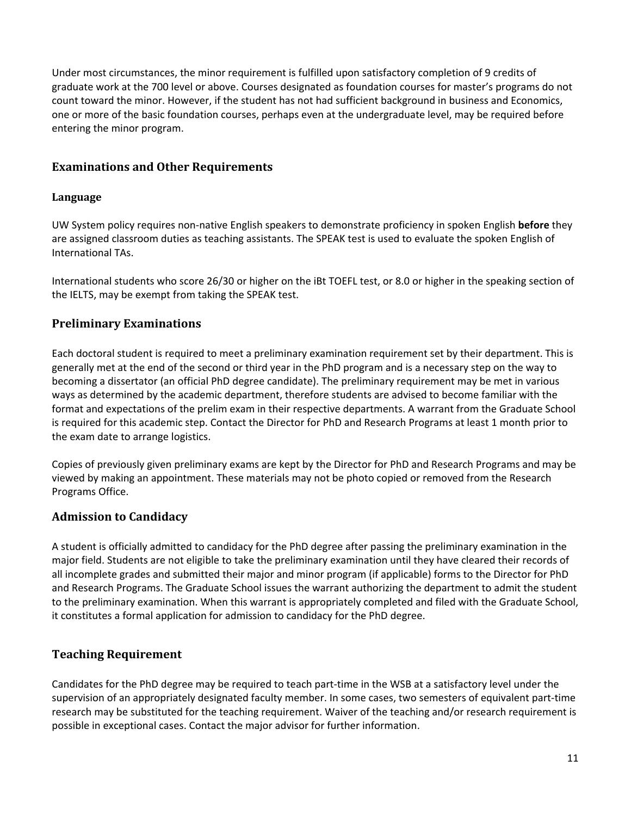Under most circumstances, the minor requirement is fulfilled upon satisfactory completion of 9 credits of graduate work at the 700 level or above. Courses designated as foundation courses for master's programs do not count toward the minor. However, if the student has not had sufficient background in business and Economics, one or more of the basic foundation courses, perhaps even at the undergraduate level, may be required before entering the minor program.

# <span id="page-11-0"></span>**Examinations and Other Requirements**

#### <span id="page-11-1"></span>**Language**

UW System policy requires non-native English speakers to demonstrate proficiency in spoken English **before** they are assigned classroom duties as teaching assistants. The SPEAK test is used to evaluate the spoken English of International TAs.

International students who score 26/30 or higher on the iBt TOEFL test, or 8.0 or higher in the speaking section of the IELTS, may be exempt from taking the SPEAK test.

# <span id="page-11-2"></span>**Preliminary Examinations**

Each doctoral student is required to meet a preliminary examination requirement set by their department. This is generally met at the end of the second or third year in the PhD program and is a necessary step on the way to becoming a dissertator (an official PhD degree candidate). The preliminary requirement may be met in various ways as determined by the academic department, therefore students are advised to become familiar with the format and expectations of the prelim exam in their respective departments. A warrant from the Graduate School is required for this academic step. Contact the Director for PhD and Research Programs at least 1 month prior to the exam date to arrange logistics.

Copies of previously given preliminary exams are kept by the Director for PhD and Research Programs and may be viewed by making an appointment. These materials may not be photo copied or removed from the Research Programs Office.

# <span id="page-11-3"></span>**Admission to Candidacy**

A student is officially admitted to candidacy for the PhD degree after passing the preliminary examination in the major field. Students are not eligible to take the preliminary examination until they have cleared their records of all incomplete grades and submitted their major and minor program (if applicable) forms to the Director for PhD and Research Programs. The Graduate School issues the warrant authorizing the department to admit the student to the preliminary examination. When this warrant is appropriately completed and filed with the Graduate School, it constitutes a formal application for admission to candidacy for the PhD degree.

# <span id="page-11-4"></span>**Teaching Requirement**

Candidates for the PhD degree may be required to teach part-time in the WSB at a satisfactory level under the supervision of an appropriately designated faculty member. In some cases, two semesters of equivalent part-time research may be substituted for the teaching requirement. Waiver of the teaching and/or research requirement is possible in exceptional cases. Contact the major advisor for further information.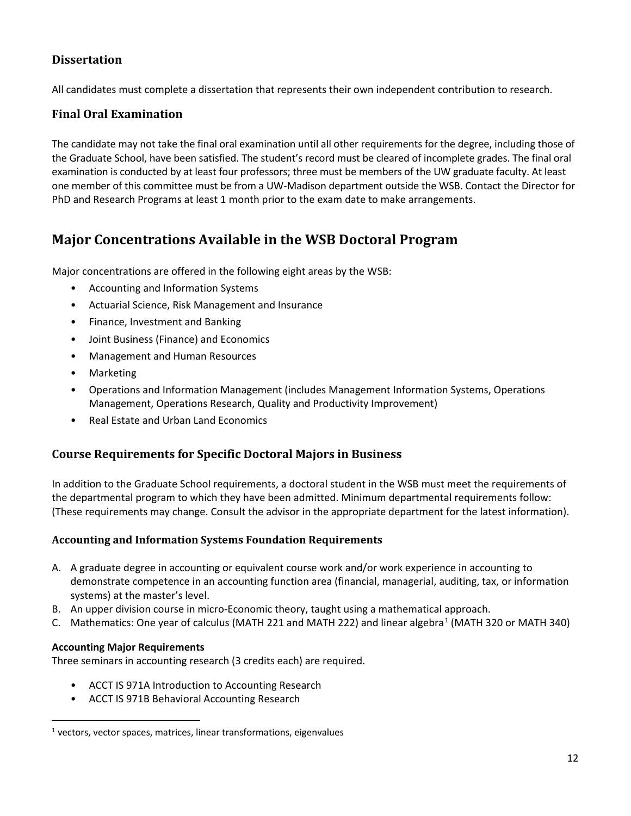# <span id="page-12-0"></span>**Dissertation**

All candidates must complete a dissertation that represents their own independent contribution to research.

## <span id="page-12-1"></span>**Final Oral Examination**

The candidate may not take the final oral examination until all other requirements for the degree, including those of the Graduate School, have been satisfied. The student's record must be cleared of incomplete grades. The final oral examination is conducted by at least four professors; three must be members of the UW graduate faculty. At least one member of this committee must be from a UW-Madison department outside the WSB. Contact the Director for PhD and Research Programs at least 1 month prior to the exam date to make arrangements.

# <span id="page-12-2"></span>**Major Concentrations Available in the WSB Doctoral Program**

Major concentrations are offered in the following eight areas by the WSB:

- Accounting and Information Systems
- Actuarial Science, Risk Management and Insurance
- Finance, Investment and Banking
- Joint Business (Finance) and Economics
- Management and Human Resources
- **Marketing**
- Operations and Information Management (includes Management Information Systems, Operations Management, Operations Research, Quality and Productivity Improvement)
- Real Estate and Urban Land Economics

# <span id="page-12-3"></span>**Course Requirements for Specific Doctoral Majors in Business**

In addition to the Graduate School requirements, a doctoral student in the WSB must meet the requirements of the departmental program to which they have been admitted. Minimum departmental requirements follow: (These requirements may change. Consult the advisor in the appropriate department for the latest information).

#### <span id="page-12-4"></span>**Accounting and Information Systems Foundation Requirements**

- A. A graduate degree in accounting or equivalent course work and/or work experience in accounting to demonstrate competence in an accounting function area (financial, managerial, auditing, tax, or information systems) at the master's level.
- B. An upper division course in micro-Economic theory, taught using a mathematical approach.
- C. Mathematics: One year of calculus (MATH 22[1](#page-12-5) and MATH 222) and linear algebra<sup>1</sup> (MATH 320 or MATH 340)

#### **Accounting Major Requirements**

Three seminars in accounting research (3 credits each) are required.

- ACCT IS 971A Introduction to Accounting Research
- ACCT IS 971B Behavioral Accounting Research

<span id="page-12-5"></span> $1$  vectors, vector spaces, matrices, linear transformations, eigenvalues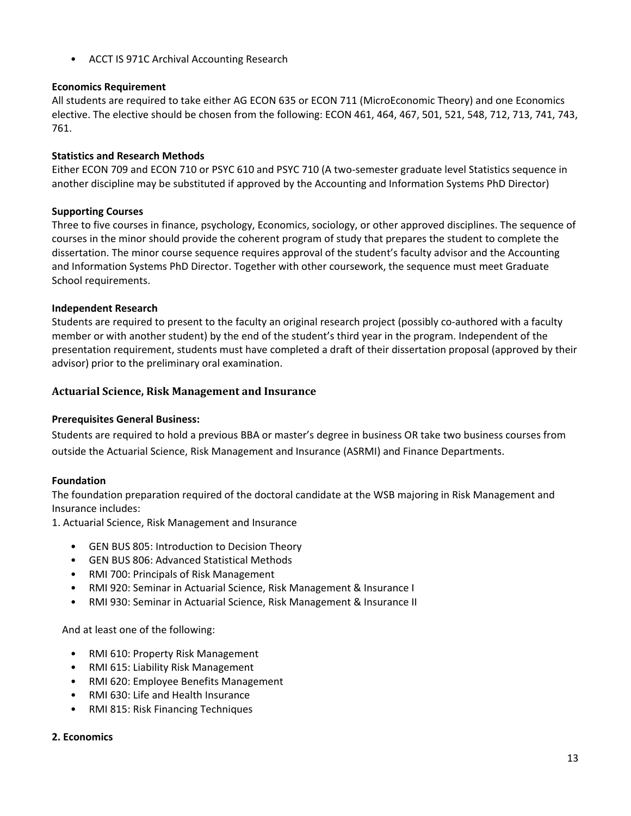• ACCT IS 971C Archival Accounting Research

#### **Economics Requirement**

All students are required to take either AG ECON 635 or ECON 711 (MicroEconomic Theory) and one Economics elective. The elective should be chosen from the following: ECON 461, 464, 467, 501, 521, 548, 712, 713, 741, 743, 761.

#### **Statistics and Research Methods**

Either ECON 709 and ECON 710 or PSYC 610 and PSYC 710 (A two-semester graduate level Statistics sequence in another discipline may be substituted if approved by the Accounting and Information Systems PhD Director)

#### **Supporting Courses**

Three to five courses in finance, psychology, Economics, sociology, or other approved disciplines. The sequence of courses in the minor should provide the coherent program of study that prepares the student to complete the dissertation. The minor course sequence requires approval of the student's faculty advisor and the Accounting and Information Systems PhD Director. Together with other coursework, the sequence must meet Graduate School requirements.

#### **Independent Research**

Students are required to present to the faculty an original research project (possibly co-authored with a faculty member or with another student) by the end of the student's third year in the program. Independent of the presentation requirement, students must have completed a draft of their dissertation proposal (approved by their advisor) prior to the preliminary oral examination.

#### <span id="page-13-0"></span>**Actuarial Science, Risk Management and Insurance**

#### **Prerequisites General Business:**

Students are required to hold a previous BBA or master's degree in business OR take two business courses from outside the Actuarial Science, Risk Management and Insurance (ASRMI) and Finance Departments.

#### **Foundation**

The foundation preparation required of the doctoral candidate at the WSB majoring in Risk Management and Insurance includes:

1. Actuarial Science, Risk Management and Insurance

- GEN BUS 805: Introduction to Decision Theory
- GEN BUS 806: Advanced Statistical Methods
- RMI 700: Principals of Risk Management
- RMI 920: Seminar in Actuarial Science, Risk Management & Insurance I
- RMI 930: Seminar in Actuarial Science, Risk Management & Insurance II

And at least one of the following:

- RMI 610: Property Risk Management
- RMI 615: Liability Risk Management
- RMI 620: Employee Benefits Management
- RMI 630: Life and Health Insurance
- RMI 815: Risk Financing Techniques

#### **2. Economics**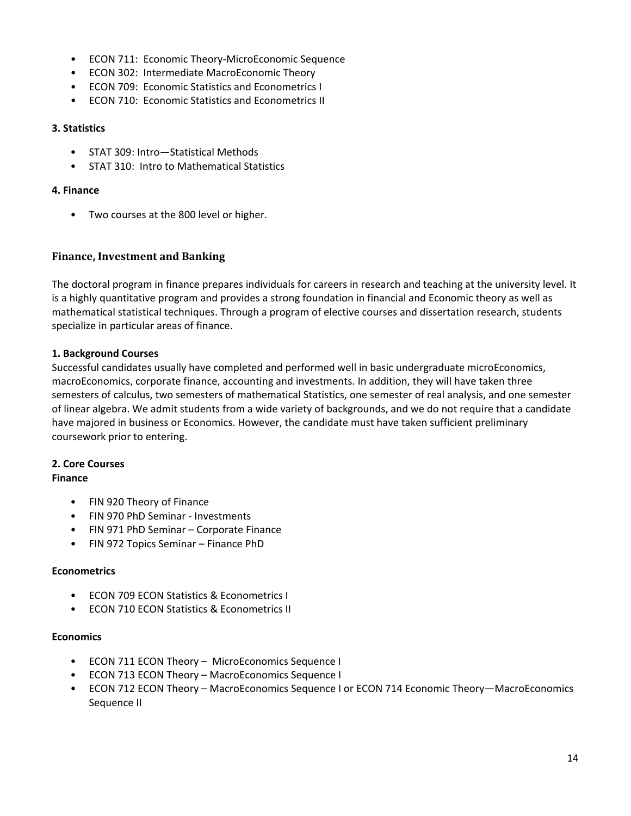- ECON 711: Economic Theory-MicroEconomic Sequence
- ECON 302: Intermediate MacroEconomic Theory
- ECON 709: Economic Statistics and Econometrics I
- ECON 710: Economic Statistics and Econometrics II

#### **3. Statistics**

- STAT 309: Intro—Statistical Methods
- STAT 310: Intro to Mathematical Statistics

#### **4. Finance**

• Two courses at the 800 level or higher.

#### <span id="page-14-0"></span>**Finance, Investment and Banking**

The doctoral program in finance prepares individuals for careers in research and teaching at the university level. It is a highly quantitative program and provides a strong foundation in financial and Economic theory as well as mathematical statistical techniques. Through a program of elective courses and dissertation research, students specialize in particular areas of finance.

#### **1. Background Courses**

Successful candidates usually have completed and performed well in basic undergraduate microEconomics, macroEconomics, corporate finance, accounting and investments. In addition, they will have taken three semesters of calculus, two semesters of mathematical Statistics, one semester of real analysis, and one semester of linear algebra. We admit students from a wide variety of backgrounds, and we do not require that a candidate have majored in business or Economics. However, the candidate must have taken sufficient preliminary coursework prior to entering.

# **2. Core Courses**

#### **Finance**

- FIN 920 Theory of Finance
- FIN 970 PhD Seminar Investments
- FIN 971 PhD Seminar Corporate Finance
- FIN 972 Topics Seminar Finance PhD

#### **Econometrics**

- ECON 709 ECON Statistics & Econometrics I
- ECON 710 ECON Statistics & Econometrics II

#### **Economics**

- ECON 711 ECON Theory MicroEconomics Sequence I
- ECON 713 ECON Theory MacroEconomics Sequence I
- ECON 712 ECON Theory MacroEconomics Sequence I or ECON 714 Economic Theory—MacroEconomics Sequence II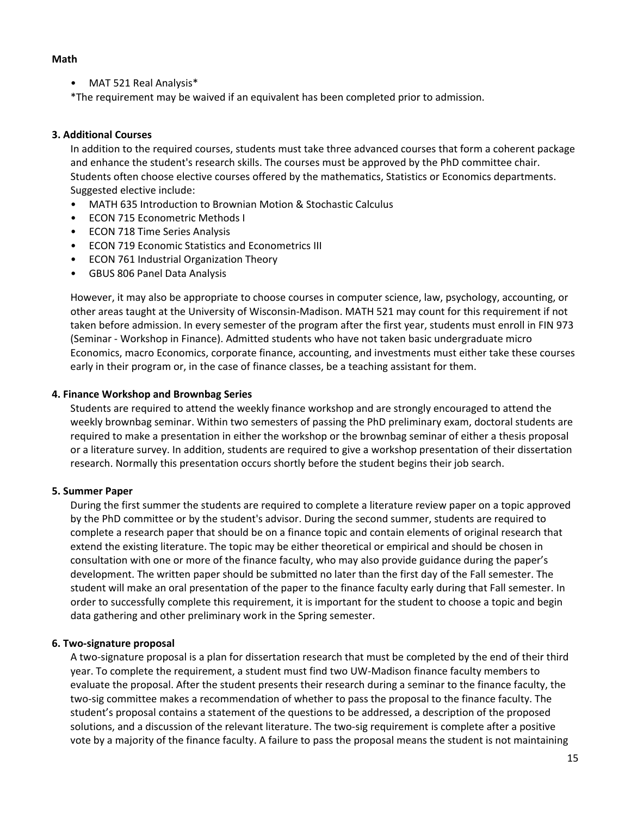#### **Math**

• MAT 521 Real Analysis\*

\*The requirement may be waived if an equivalent has been completed prior to admission.

#### **3. Additional Courses**

In addition to the required courses, students must take three advanced courses that form a coherent package and enhance the student's research skills. The courses must be approved by the PhD committee chair. Students often choose elective courses offered by the mathematics, Statistics or Economics departments. Suggested elective include:

- MATH 635 Introduction to Brownian Motion & Stochastic Calculus
- ECON 715 Econometric Methods I
- ECON 718 Time Series Analysis
- ECON 719 Economic Statistics and Econometrics III
- ECON 761 Industrial Organization Theory
- GBUS 806 Panel Data Analysis

However, it may also be appropriate to choose courses in computer science, law, psychology, accounting, or other areas taught at the University of Wisconsin-Madison. MATH 521 may count for this requirement if not taken before admission. In every semester of the program after the first year, students must enroll in FIN 973 (Seminar - Workshop in Finance). Admitted students who have not taken basic undergraduate micro Economics, macro Economics, corporate finance, accounting, and investments must either take these courses early in their program or, in the case of finance classes, be a teaching assistant for them.

#### **4. Finance Workshop and Brownbag Series**

Students are required to attend the weekly finance workshop and are strongly encouraged to attend the weekly brownbag seminar. Within two semesters of passing the PhD preliminary exam, doctoral students are required to make a presentation in either the workshop or the brownbag seminar of either a thesis proposal or a literature survey. In addition, students are required to give a workshop presentation of their dissertation research. Normally this presentation occurs shortly before the student begins their job search.

#### **5. Summer Paper**

During the first summer the students are required to complete a literature review paper on a topic approved by the PhD committee or by the student's advisor. During the second summer, students are required to complete a research paper that should be on a finance topic and contain elements of original research that extend the existing literature. The topic may be either theoretical or empirical and should be chosen in consultation with one or more of the finance faculty, who may also provide guidance during the paper's development. The written paper should be submitted no later than the first day of the Fall semester. The student will make an oral presentation of the paper to the finance faculty early during that Fall semester. In order to successfully complete this requirement, it is important for the student to choose a topic and begin data gathering and other preliminary work in the Spring semester.

#### **6. Two-signature proposal**

A two-signature proposal is a plan for dissertation research that must be completed by the end of their third year. To complete the requirement, a student must find two UW-Madison finance faculty members to evaluate the proposal. After the student presents their research during a seminar to the finance faculty, the two-sig committee makes a recommendation of whether to pass the proposal to the finance faculty. The student's proposal contains a statement of the questions to be addressed, a description of the proposed solutions, and a discussion of the relevant literature. The two-sig requirement is complete after a positive vote by a majority of the finance faculty. A failure to pass the proposal means the student is not maintaining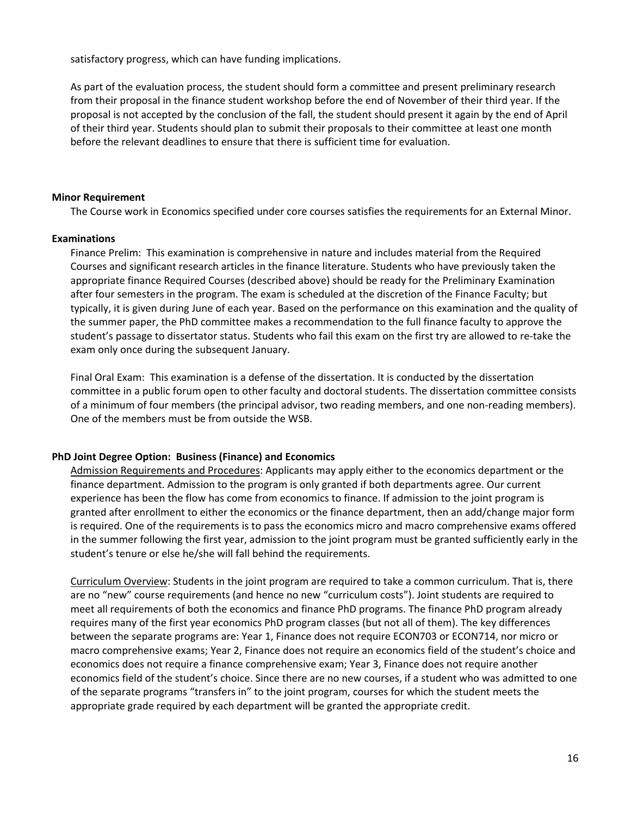satisfactory progress, which can have funding implications.

As part of the evaluation process, the student should form a committee and present preliminary research from their proposal in the finance student workshop before the end of November of their third year. If the proposal is not accepted by the conclusion of the fall, the student should present it again by the end of April of their third year. Students should plan to submit their proposals to their committee at least one month before the relevant deadlines to ensure that there is sufficient time for evaluation.

#### **Minor Requirement**

The Course work in Economics specified under core courses satisfies the requirements for an External Minor.

#### **Examinations**

Finance Prelim: This examination is comprehensive in nature and includes material from the Required Courses and significant research articles in the finance literature. Students who have previously taken the appropriate finance Required Courses (described above) should be ready for the Preliminary Examination after four semesters in the program. The exam is scheduled at the discretion of the Finance Faculty; but typically, it is given during June of each year. Based on the performance on this examination and the quality of the summer paper, the PhD committee makes a recommendation to the full finance faculty to approve the student's passage to dissertator status. Students who fail this exam on the first try are allowed to re-take the exam only once during the subsequent January.

Final Oral Exam: This examination is a defense of the dissertation. It is conducted by the dissertation committee in a public forum open to other faculty and doctoral students. The dissertation committee consists of a minimum of four members (the principal advisor, two reading members, and one non-reading members). One of the members must be from outside the WSB.

#### <span id="page-16-0"></span>**PhD Joint Degree Option: Business (Finance) and Economics**

Admission Requirements and Procedures: Applicants may apply either to the economics department or the finance department. Admission to the program is only granted if both departments agree. Our current experience has been the flow has come from economics to finance. If admission to the joint program is granted after enrollment to either the economics or the finance department, then an add/change major form is required. One of the requirements is to pass the economics micro and macro comprehensive exams offered in the summer following the first year, admission to the joint program must be granted sufficiently early in the student's tenure or else he/she will fall behind the requirements.

Curriculum Overview: Students in the joint program are required to take a common curriculum. That is, there are no "new" course requirements (and hence no new "curriculum costs"). Joint students are required to meet all requirements of both the economics and finance PhD programs. The finance PhD program already requires many of the first year economics PhD program classes (but not all of them). The key differences between the separate programs are: Year 1, Finance does not require ECON703 or ECON714, nor micro or macro comprehensive exams; Year 2, Finance does not require an economics field of the student's choice and economics does not require a finance comprehensive exam; Year 3, Finance does not require another economics field of the student's choice. Since there are no new courses, if a student who was admitted to one of the separate programs "transfers in" to the joint program, courses for which the student meets the appropriate grade required by each department will be granted the appropriate credit.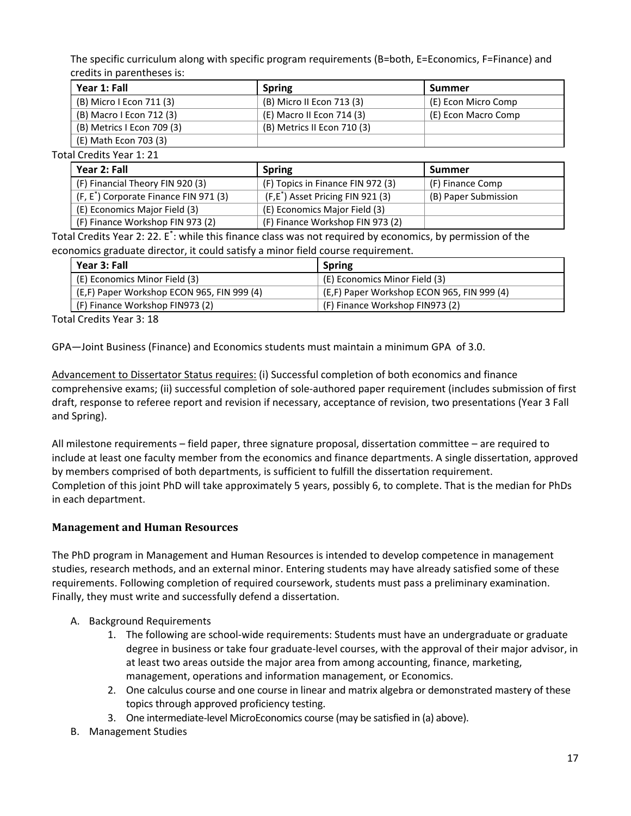The specific curriculum along with specific program requirements (B=both, E=Economics, F=Finance) and credits in parentheses is:

| Year 1: Fall               | <b>Spring</b>               | <b>Summer</b>       |
|----------------------------|-----------------------------|---------------------|
| (B) Micro I Econ 711 (3)   | (B) Micro II Econ 713 (3)   | (E) Econ Micro Comp |
| (B) Macro I Econ 712 (3)   | (E) Macro II Econ 714 (3)   | (E) Econ Macro Comp |
| (B) Metrics I Econ 709 (3) | (B) Metrics II Econ 710 (3) |                     |
| (E) Math Econ 703 (3)      |                             |                     |

Total Credits Year 1: 21

| Year 2: Fall                                       | <b>Spring</b>                                 | <b>Summer</b>        |
|----------------------------------------------------|-----------------------------------------------|----------------------|
| (F) Financial Theory FIN 920 (3)                   | (F) Topics in Finance FIN 972 (3)             | (F) Finance Comp     |
| (F, E <sup>*</sup> ) Corporate Finance FIN 971 (3) | (F,E <sup>*</sup> ) Asset Pricing FIN 921 (3) | (B) Paper Submission |
| (E) Economics Major Field (3)                      | (E) Economics Major Field (3)                 |                      |
| (F) Finance Workshop FIN 973 (2)                   | (F) Finance Workshop FIN 973 (2)              |                      |

Total Credits Year 2: 22. E<sup>\*</sup>: while this finance class was not required by economics, by permission of the economics graduate director, it could satisfy a minor field course requirement.

| Year 3: Fall                               | <b>Spring</b>                              |
|--------------------------------------------|--------------------------------------------|
| (E) Economics Minor Field (3)              | (E) Economics Minor Field (3)              |
| (E.F) Paper Workshop ECON 965, FIN 999 (4) | (E.F) Paper Workshop ECON 965, FIN 999 (4) |
| (F) Finance Workshop FIN973 (2)            | (F) Finance Workshop FIN973 (2)            |

Total Credits Year 3: 18

GPA—Joint Business (Finance) and Economics students must maintain a minimum GPA of 3.0.

Advancement to Dissertator Status requires: (i) Successful completion of both economics and finance comprehensive exams; (ii) successful completion of sole-authored paper requirement (includes submission of first draft, response to referee report and revision if necessary, acceptance of revision, two presentations (Year 3 Fall and Spring).

All milestone requirements – field paper, three signature proposal, dissertation committee – are required to include at least one faculty member from the economics and finance departments. A single dissertation, approved by members comprised of both departments, is sufficient to fulfill the dissertation requirement. Completion of this joint PhD will take approximately 5 years, possibly 6, to complete. That is the median for PhDs in each department.

# <span id="page-17-0"></span>**Management and Human Resources**

The PhD program in Management and Human Resources is intended to develop competence in management studies, research methods, and an external minor. Entering students may have already satisfied some of these requirements. Following completion of required coursework, students must pass a preliminary examination. Finally, they must write and successfully defend a dissertation.

- A. Background Requirements
	- 1. The following are school-wide requirements: Students must have an undergraduate or graduate degree in business or take four graduate-level courses, with the approval of their major advisor, in at least two areas outside the major area from among accounting, finance, marketing, management, operations and information management, or Economics.
	- 2. One calculus course and one course in linear and matrix algebra or demonstrated mastery of these topics through approved proficiency testing.
	- 3. One intermediate-level MicroEconomics course (may be satisfied in (a) above).
- B. Management Studies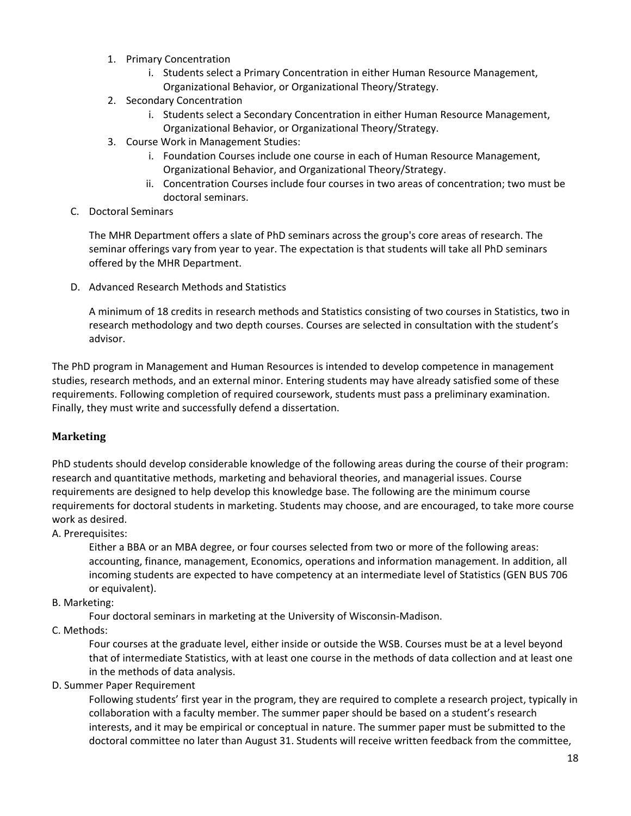- 1. Primary Concentration
	- i. Students select a Primary Concentration in either Human Resource Management, Organizational Behavior, or Organizational Theory/Strategy.
- 2. Secondary Concentration
	- i. Students select a Secondary Concentration in either Human Resource Management, Organizational Behavior, or Organizational Theory/Strategy.
- 3. Course Work in Management Studies:
	- i. Foundation Courses include one course in each of Human Resource Management, Organizational Behavior, and Organizational Theory/Strategy.
	- ii. Concentration Courses include four courses in two areas of concentration; two must be doctoral seminars.
- C. Doctoral Seminars

The MHR Department offers a slate of PhD seminars across the group's core areas of research. The seminar offerings vary from year to year. The expectation is that students will take all PhD seminars offered by the MHR Department.

D. Advanced Research Methods and Statistics

A minimum of 18 credits in research methods and Statistics consisting of two courses in Statistics, two in research methodology and two depth courses. Courses are selected in consultation with the student's advisor.

The PhD program in Management and Human Resources is intended to develop competence in management studies, research methods, and an external minor. Entering students may have already satisfied some of these requirements. Following completion of required coursework, students must pass a preliminary examination. Finally, they must write and successfully defend a dissertation.

# <span id="page-18-0"></span>**Marketing**

PhD students should develop considerable knowledge of the following areas during the course of their program: research and quantitative methods, marketing and behavioral theories, and managerial issues. Course requirements are designed to help develop this knowledge base. The following are the minimum course requirements for doctoral students in marketing. Students may choose, and are encouraged, to take more course work as desired.

A. Prerequisites:

Either a BBA or an MBA degree, or four courses selected from two or more of the following areas: accounting, finance, management, Economics, operations and information management. In addition, all incoming students are expected to have competency at an intermediate level of Statistics (GEN BUS 706 or equivalent).

B. Marketing:

Four doctoral seminars in marketing at the University of Wisconsin-Madison.

C. Methods:

Four courses at the graduate level, either inside or outside the WSB. Courses must be at a level beyond that of intermediate Statistics, with at least one course in the methods of data collection and at least one in the methods of data analysis.

D. Summer Paper Requirement

Following students' first year in the program, they are required to complete a research project, typically in collaboration with a faculty member. The summer paper should be based on a student's research interests, and it may be empirical or conceptual in nature. The summer paper must be submitted to the doctoral committee no later than August 31. Students will receive written feedback from the committee,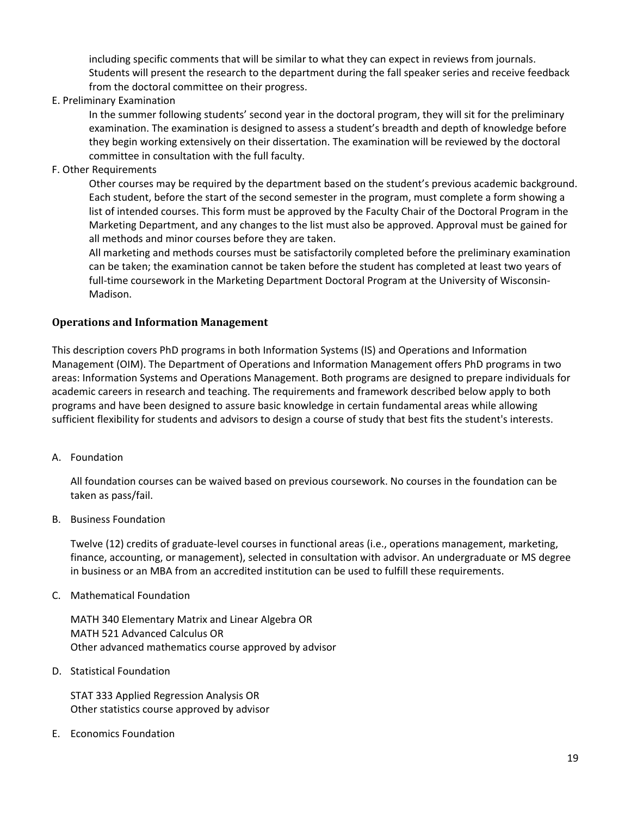including specific comments that will be similar to what they can expect in reviews from journals. Students will present the research to the department during the fall speaker series and receive feedback from the doctoral committee on their progress.

E. Preliminary Examination

In the summer following students' second year in the doctoral program, they will sit for the preliminary examination. The examination is designed to assess a student's breadth and depth of knowledge before they begin working extensively on their dissertation. The examination will be reviewed by the doctoral committee in consultation with the full faculty.

F. Other Requirements

Other courses may be required by the department based on the student's previous academic background. Each student, before the start of the second semester in the program, must complete a form showing a list of intended courses. This form must be approved by the Faculty Chair of the Doctoral Program in the Marketing Department, and any changes to the list must also be approved. Approval must be gained for all methods and minor courses before they are taken.

All marketing and methods courses must be satisfactorily completed before the preliminary examination can be taken; the examination cannot be taken before the student has completed at least two years of full-time coursework in the Marketing Department Doctoral Program at the University of Wisconsin-Madison.

#### <span id="page-19-0"></span>**Operations and Information Management**

This description covers PhD programs in both Information Systems (IS) and Operations and Information Management (OIM). The Department of Operations and Information Management offers PhD programs in two areas: Information Systems and Operations Management. Both programs are designed to prepare individuals for academic careers in research and teaching. The requirements and framework described below apply to both programs and have been designed to assure basic knowledge in certain fundamental areas while allowing sufficient flexibility for students and advisors to design a course of study that best fits the student's interests.

#### A. Foundation

All foundation courses can be waived based on previous coursework. No courses in the foundation can be taken as pass/fail.

B. Business Foundation

Twelve (12) credits of graduate-level courses in functional areas (i.e., operations management, marketing, finance, accounting, or management), selected in consultation with advisor. An undergraduate or MS degree in business or an MBA from an accredited institution can be used to fulfill these requirements.

C. Mathematical Foundation

MATH 340 Elementary Matrix and Linear Algebra OR MATH 521 Advanced Calculus OR Other advanced mathematics course approved by advisor

D. Statistical Foundation

STAT 333 Applied Regression Analysis OR Other statistics course approved by advisor

E. Economics Foundation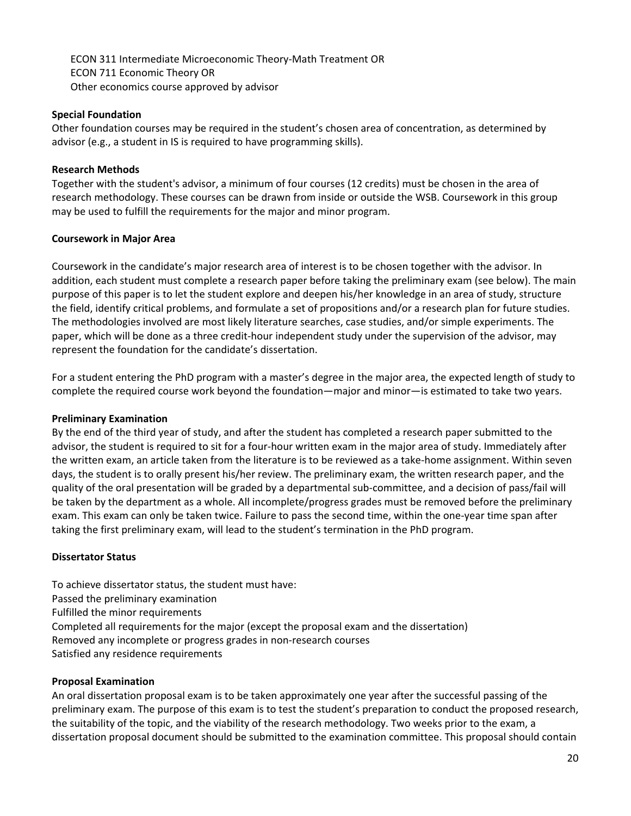ECON 311 Intermediate Microeconomic Theory-Math Treatment OR ECON 711 Economic Theory OR Other economics course approved by advisor

#### **Special Foundation**

Other foundation courses may be required in the student's chosen area of concentration, as determined by advisor (e.g., a student in IS is required to have programming skills).

#### **Research Methods**

Together with the student's advisor, a minimum of four courses (12 credits) must be chosen in the area of research methodology. These courses can be drawn from inside or outside the WSB. Coursework in this group may be used to fulfill the requirements for the major and minor program.

#### **Coursework in Major Area**

Coursework in the candidate's major research area of interest is to be chosen together with the advisor. In addition, each student must complete a research paper before taking the preliminary exam (see below). The main purpose of this paper is to let the student explore and deepen his/her knowledge in an area of study, structure the field, identify critical problems, and formulate a set of propositions and/or a research plan for future studies. The methodologies involved are most likely literature searches, case studies, and/or simple experiments. The paper, which will be done as a three credit-hour independent study under the supervision of the advisor, may represent the foundation for the candidate's dissertation.

For a student entering the PhD program with a master's degree in the major area, the expected length of study to complete the required course work beyond the foundation—major and minor—is estimated to take two years.

#### **Preliminary Examination**

By the end of the third year of study, and after the student has completed a research paper submitted to the advisor, the student is required to sit for a four-hour written exam in the major area of study. Immediately after the written exam, an article taken from the literature is to be reviewed as a take-home assignment. Within seven days, the student is to orally present his/her review. The preliminary exam, the written research paper, and the quality of the oral presentation will be graded by a departmental sub-committee, and a decision of pass/fail will be taken by the department as a whole. All incomplete/progress grades must be removed before the preliminary exam. This exam can only be taken twice. Failure to pass the second time, within the one-year time span after taking the first preliminary exam, will lead to the student's termination in the PhD program.

#### **Dissertator Status**

To achieve dissertator status, the student must have: Passed the preliminary examination Fulfilled the minor requirements Completed all requirements for the major (except the proposal exam and the dissertation) Removed any incomplete or progress grades in non-research courses Satisfied any residence requirements

#### **Proposal Examination**

An oral dissertation proposal exam is to be taken approximately one year after the successful passing of the preliminary exam. The purpose of this exam is to test the student's preparation to conduct the proposed research, the suitability of the topic, and the viability of the research methodology. Two weeks prior to the exam, a dissertation proposal document should be submitted to the examination committee. This proposal should contain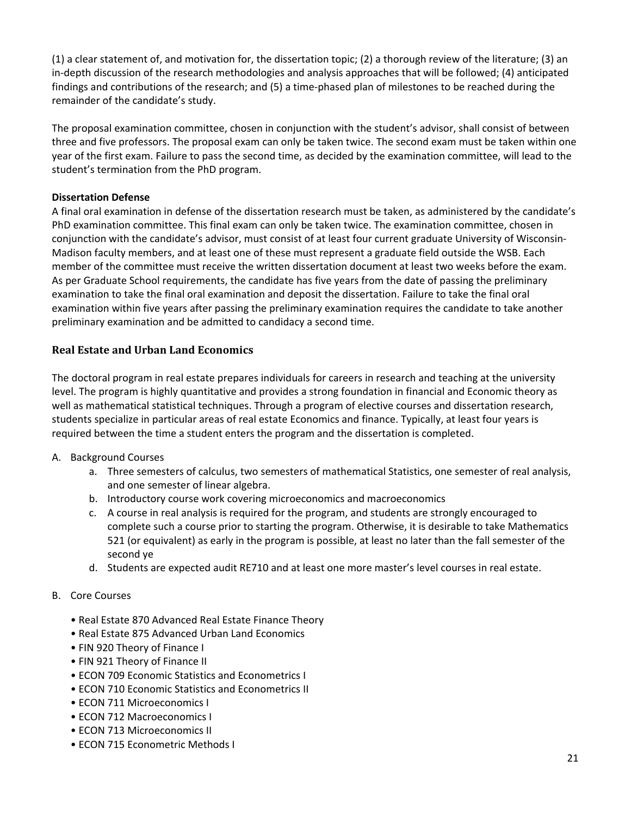(1) a clear statement of, and motivation for, the dissertation topic; (2) a thorough review of the literature; (3) an in-depth discussion of the research methodologies and analysis approaches that will be followed; (4) anticipated findings and contributions of the research; and (5) a time-phased plan of milestones to be reached during the remainder of the candidate's study.

The proposal examination committee, chosen in conjunction with the student's advisor, shall consist of between three and five professors. The proposal exam can only be taken twice. The second exam must be taken within one year of the first exam. Failure to pass the second time, as decided by the examination committee, will lead to the student's termination from the PhD program.

#### **Dissertation Defense**

A final oral examination in defense of the dissertation research must be taken, as administered by the candidate's PhD examination committee. This final exam can only be taken twice. The examination committee, chosen in conjunction with the candidate's advisor, must consist of at least four current graduate University of Wisconsin-Madison faculty members, and at least one of these must represent a graduate field outside the WSB. Each member of the committee must receive the written dissertation document at least two weeks before the exam. As per Graduate School requirements, the candidate has five years from the date of passing the preliminary examination to take the final oral examination and deposit the dissertation. Failure to take the final oral examination within five years after passing the preliminary examination requires the candidate to take another preliminary examination and be admitted to candidacy a second time.

## <span id="page-21-0"></span>**Real Estate and Urban Land Economics**

The doctoral program in real estate prepares individuals for careers in research and teaching at the university level. The program is highly quantitative and provides a strong foundation in financial and Economic theory as well as mathematical statistical techniques. Through a program of elective courses and dissertation research, students specialize in particular areas of real estate Economics and finance. Typically, at least four years is required between the time a student enters the program and the dissertation is completed.

- A. Background Courses
	- a. Three semesters of calculus, two semesters of mathematical Statistics, one semester of real analysis, and one semester of linear algebra.
	- b. Introductory course work covering microeconomics and macroeconomics
	- c. A course in real analysis is required for the program, and students are strongly encouraged to complete such a course prior to starting the program. Otherwise, it is desirable to take Mathematics 521 (or equivalent) as early in the program is possible, at least no later than the fall semester of the second ye
	- d. Students are expected audit RE710 and at least one more master's level courses in real estate.

#### B. Core Courses

- Real Estate 870 Advanced Real Estate Finance Theory
- Real Estate 875 Advanced Urban Land Economics
- FIN 920 Theory of Finance I
- FIN 921 Theory of Finance II
- ECON 709 Economic Statistics and Econometrics I
- ECON 710 Economic Statistics and Econometrics II
- ECON 711 Microeconomics I
- ECON 712 Macroeconomics I
- ECON 713 Microeconomics II
- ECON 715 Econometric Methods I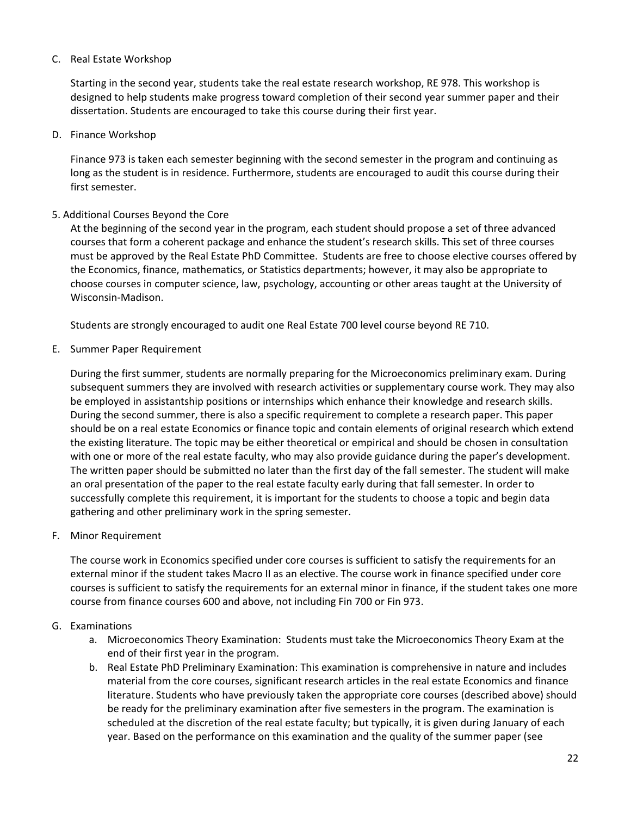#### C. Real Estate Workshop

Starting in the second year, students take the real estate research workshop, RE 978. This workshop is designed to help students make progress toward completion of their second year summer paper and their dissertation. Students are encouraged to take this course during their first year.

D. Finance Workshop

Finance 973 is taken each semester beginning with the second semester in the program and continuing as long as the student is in residence. Furthermore, students are encouraged to audit this course during their first semester.

#### 5. Additional Courses Beyond the Core

At the beginning of the second year in the program, each student should propose a set of three advanced courses that form a coherent package and enhance the student's research skills. This set of three courses must be approved by the Real Estate PhD Committee. Students are free to choose elective courses offered by the Economics, finance, mathematics, or Statistics departments; however, it may also be appropriate to choose courses in computer science, law, psychology, accounting or other areas taught at the University of Wisconsin-Madison.

Students are strongly encouraged to audit one Real Estate 700 level course beyond RE 710.

E. Summer Paper Requirement

During the first summer, students are normally preparing for the Microeconomics preliminary exam. During subsequent summers they are involved with research activities or supplementary course work. They may also be employed in assistantship positions or internships which enhance their knowledge and research skills. During the second summer, there is also a specific requirement to complete a research paper. This paper should be on a real estate Economics or finance topic and contain elements of original research which extend the existing literature. The topic may be either theoretical or empirical and should be chosen in consultation with one or more of the real estate faculty, who may also provide guidance during the paper's development. The written paper should be submitted no later than the first day of the fall semester. The student will make an oral presentation of the paper to the real estate faculty early during that fall semester. In order to successfully complete this requirement, it is important for the students to choose a topic and begin data gathering and other preliminary work in the spring semester.

F. Minor Requirement

The course work in Economics specified under core courses is sufficient to satisfy the requirements for an external minor if the student takes Macro II as an elective. The course work in finance specified under core courses is sufficient to satisfy the requirements for an external minor in finance, if the student takes one more course from finance courses 600 and above, not including Fin 700 or Fin 973.

#### G. Examinations

- a. Microeconomics Theory Examination: Students must take the Microeconomics Theory Exam at the end of their first year in the program.
- b. Real Estate PhD Preliminary Examination: This examination is comprehensive in nature and includes material from the core courses, significant research articles in the real estate Economics and finance literature. Students who have previously taken the appropriate core courses (described above) should be ready for the preliminary examination after five semesters in the program. The examination is scheduled at the discretion of the real estate faculty; but typically, it is given during January of each year. Based on the performance on this examination and the quality of the summer paper (see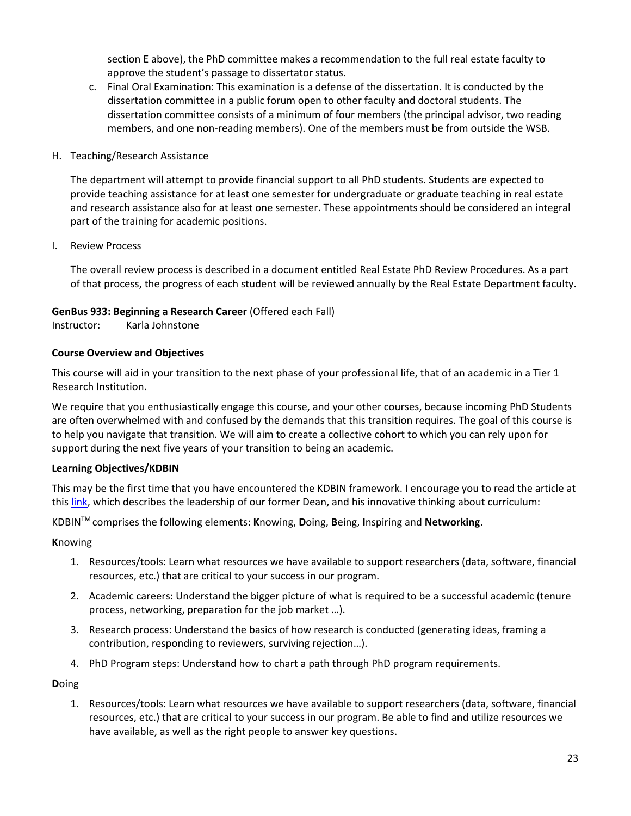section E above), the PhD committee makes a recommendation to the full real estate faculty to approve the student's passage to dissertator status.

c. Final Oral Examination: This examination is a defense of the dissertation. It is conducted by the dissertation committee in a public forum open to other faculty and doctoral students. The dissertation committee consists of a minimum of four members (the principal advisor, two reading members, and one non-reading members). One of the members must be from outside the WSB.

#### H. Teaching/Research Assistance

The department will attempt to provide financial support to all PhD students. Students are expected to provide teaching assistance for at least one semester for undergraduate or graduate teaching in real estate and research assistance also for at least one semester. These appointments should be considered an integral part of the training for academic positions.

I. Review Process

The overall review process is described in a document entitled Real Estate PhD Review Procedures. As a part of that process, the progress of each student will be reviewed annually by the Real Estate Department faculty.

#### **GenBus 933: Beginning a Research Career** (Offered each Fall)

Instructor: Karla Johnstone

#### **Course Overview and Objectives**

This course will aid in your transition to the next phase of your professional life, that of an academic in a Tier 1 Research Institution.

We require that you enthusiastically engage this course, and your other courses, because incoming PhD Students are often overwhelmed with and confused by the demands that this transition requires. The goal of this course is to help you navigate that transition. We will aim to create a collective cohort to which you can rely upon for support during the next five years of your transition to being an academic.

#### **Learning Objectives/KDBIN**

This may be the first time that you have encountered the KDBIN framework. I encourage you to read the article at this [link,](https://bus.wisc.edu/knowledge-expertise/newsroom/news-features/2017/03/10/dean-francois-ortalo-magne-legacy) which describes the leadership of our former Dean, and his innovative thinking about curriculum:

KDBINTM comprises the following elements: **K**nowing, **D**oing, **B**eing, **I**nspiring and **Networking**.

**K**nowing

- 1. Resources/tools: Learn what resources we have available to support researchers (data, software, financial resources, etc.) that are critical to your success in our program.
- 2. Academic careers: Understand the bigger picture of what is required to be a successful academic (tenure process, networking, preparation for the job market …).
- 3. Research process: Understand the basics of how research is conducted (generating ideas, framing a contribution, responding to reviewers, surviving rejection…).
- 4. PhD Program steps: Understand how to chart a path through PhD program requirements.

**D**oing

1. Resources/tools: Learn what resources we have available to support researchers (data, software, financial resources, etc.) that are critical to your success in our program. Be able to find and utilize resources we have available, as well as the right people to answer key questions.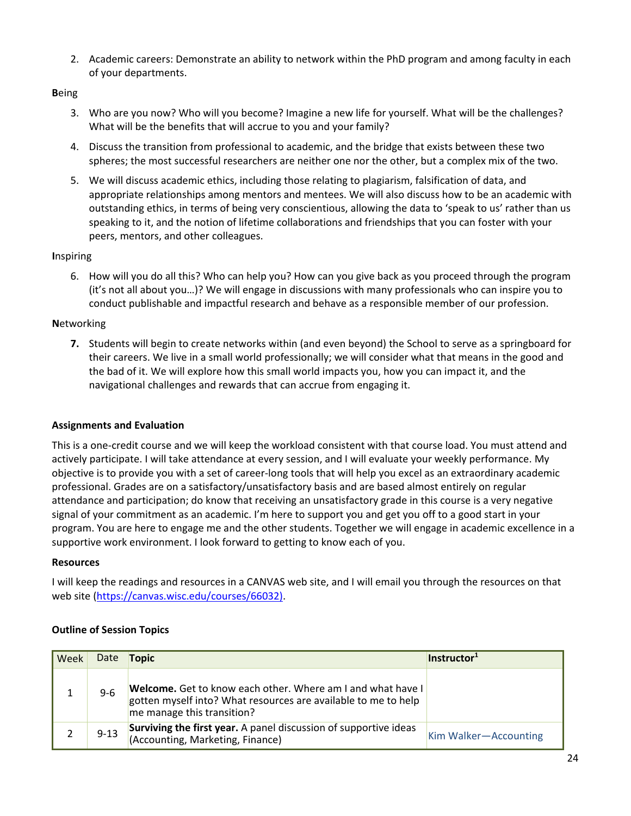2. Academic careers: Demonstrate an ability to network within the PhD program and among faculty in each of your departments.

#### **B**eing

- 3. Who are you now? Who will you become? Imagine a new life for yourself. What will be the challenges? What will be the benefits that will accrue to you and your family?
- 4. Discuss the transition from professional to academic, and the bridge that exists between these two spheres; the most successful researchers are neither one nor the other, but a complex mix of the two.
- 5. We will discuss academic ethics, including those relating to plagiarism, falsification of data, and appropriate relationships among mentors and mentees. We will also discuss how to be an academic with outstanding ethics, in terms of being very conscientious, allowing the data to 'speak to us' rather than us speaking to it, and the notion of lifetime collaborations and friendships that you can foster with your peers, mentors, and other colleagues.

## **I**nspiring

6. How will you do all this? Who can help you? How can you give back as you proceed through the program (it's not all about you…)? We will engage in discussions with many professionals who can inspire you to conduct publishable and impactful research and behave as a responsible member of our profession.

## **N**etworking

**7.** Students will begin to create networks within (and even beyond) the School to serve as a springboard for their careers. We live in a small world professionally; we will consider what that means in the good and the bad of it. We will explore how this small world impacts you, how you can impact it, and the navigational challenges and rewards that can accrue from engaging it.

#### **Assignments and Evaluation**

This is a one-credit course and we will keep the workload consistent with that course load. You must attend and actively participate. I will take attendance at every session, and I will evaluate your weekly performance. My objective is to provide you with a set of career-long tools that will help you excel as an extraordinary academic professional. Grades are on a satisfactory/unsatisfactory basis and are based almost entirely on regular attendance and participation; do know that receiving an unsatisfactory grade in this course is a very negative signal of your commitment as an academic. I'm here to support you and get you off to a good start in your program. You are here to engage me and the other students. Together we will engage in academic excellence in a supportive work environment. I look forward to getting to know each of you.

#### **Resources**

I will keep the readings and resources in a CANVAS web site, and I will email you through the resources on that web site [\(https://canvas.wisc.edu/courses/66032\).](https://canvas.wisc.edu/courses/66032))

#### **Outline of Session Topics**

| Week | Date     | <b>Topic</b>                                                                                                                                                | Instructor <sup>1</sup> |
|------|----------|-------------------------------------------------------------------------------------------------------------------------------------------------------------|-------------------------|
|      | $9 - 6$  | Welcome. Get to know each other. Where am I and what have I<br>gotten myself into? What resources are available to me to help<br>me manage this transition? |                         |
|      | $9 - 13$ | Surviving the first year. A panel discussion of supportive ideas<br>(Accounting, Marketing, Finance)                                                        | Kim Walker-Accounting   |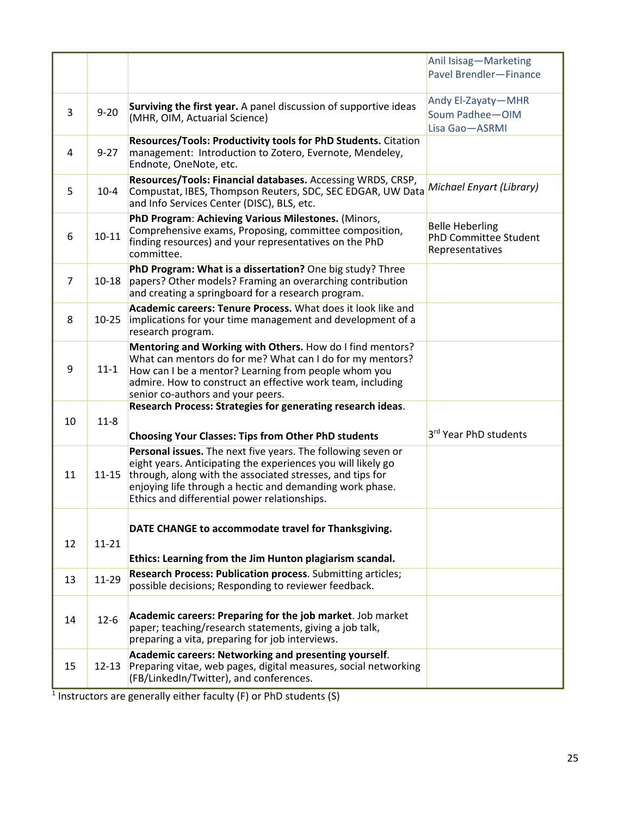|                |           |                                                                                                                                                                                                                                                                                                       | Anil Isisag-Marketing<br>Pavel Brendler-Finance                           |
|----------------|-----------|-------------------------------------------------------------------------------------------------------------------------------------------------------------------------------------------------------------------------------------------------------------------------------------------------------|---------------------------------------------------------------------------|
| 3              | $9 - 20$  | Surviving the first year. A panel discussion of supportive ideas<br>(MHR, OIM, Actuarial Science)                                                                                                                                                                                                     | Andy El-Zayaty-MHR<br>Soum Padhee-OIM<br>Lisa Gao-ASRMI                   |
| 4              | $9 - 27$  | Resources/Tools: Productivity tools for PhD Students. Citation<br>management: Introduction to Zotero, Evernote, Mendeley,<br>Endnote, OneNote, etc.                                                                                                                                                   |                                                                           |
| 5              | $10 - 4$  | Resources/Tools: Financial databases. Accessing WRDS, CRSP,<br>Compustat, IBES, Thompson Reuters, SDC, SEC EDGAR, UW Data<br>and Info Services Center (DISC), BLS, etc.                                                                                                                               | Michael Enyart (Library)                                                  |
| 6              | $10 - 11$ | PhD Program: Achieving Various Milestones. (Minors,<br>Comprehensive exams, Proposing, committee composition,<br>finding resources) and your representatives on the PhD<br>committee.                                                                                                                 | <b>Belle Heberling</b><br><b>PhD Committee Student</b><br>Representatives |
| $\overline{7}$ | $10 - 18$ | PhD Program: What is a dissertation? One big study? Three<br>papers? Other models? Framing an overarching contribution<br>and creating a springboard for a research program.                                                                                                                          |                                                                           |
| 8              | $10 - 25$ | Academic careers: Tenure Process, What does it look like and<br>implications for your time management and development of a<br>research program.                                                                                                                                                       |                                                                           |
| 9              | $11 - 1$  | Mentoring and Working with Others. How do I find mentors?<br>What can mentors do for me? What can I do for my mentors?<br>How can I be a mentor? Learning from people whom you<br>admire. How to construct an effective work team, including<br>senior co-authors and your peers.                     |                                                                           |
| 10             | $11-8$    | Research Process: Strategies for generating research ideas.<br><b>Choosing Your Classes: Tips from Other PhD students</b>                                                                                                                                                                             | 3rd Year PhD students                                                     |
| 11             | $11 - 15$ | Personal issues. The next five years. The following seven or<br>eight years. Anticipating the experiences you will likely go<br>through, along with the associated stresses, and tips for<br>enjoying life through a hectic and demanding work phase.<br>Ethics and differential power relationships. |                                                                           |
| 12             | $11 - 21$ | DATE CHANGE to accommodate travel for Thanksgiving.<br>Ethics: Learning from the Jim Hunton plagiarism scandal.                                                                                                                                                                                       |                                                                           |
| 13             | 11-29     | Research Process: Publication process. Submitting articles;<br>possible decisions; Responding to reviewer feedback.                                                                                                                                                                                   |                                                                           |
| 14             | $12 - 6$  | Academic careers: Preparing for the job market. Job market<br>paper; teaching/research statements, giving a job talk,<br>preparing a vita, preparing for job interviews.                                                                                                                              |                                                                           |
| 15             | $12 - 13$ | Academic careers: Networking and presenting yourself.<br>Preparing vitae, web pages, digital measures, social networking<br>(FB/LinkedIn/Twitter), and conferences.                                                                                                                                   |                                                                           |

 $1$  Instructors are generally either faculty (F) or PhD students (S)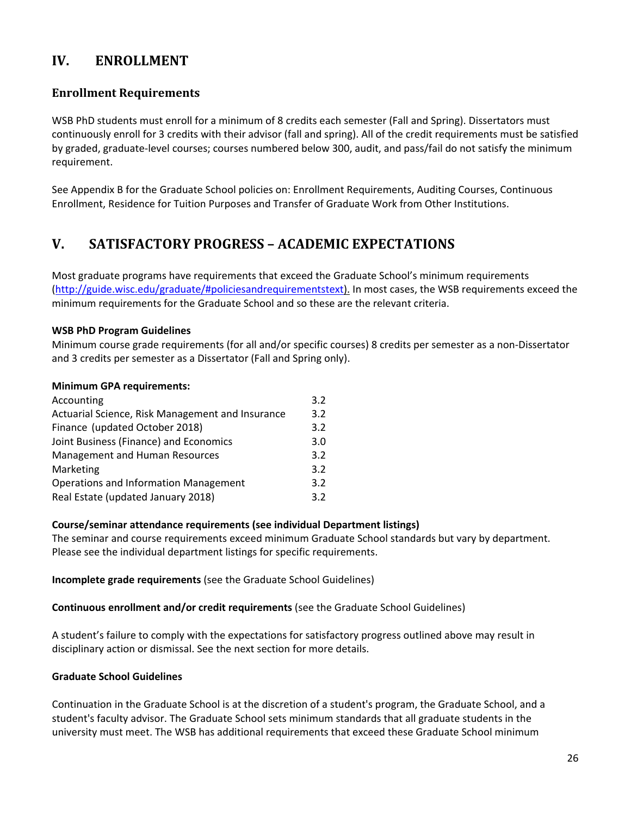# <span id="page-26-0"></span>**IV. ENROLLMENT**

# <span id="page-26-1"></span>**Enrollment Requirements**

WSB PhD students must enroll for a minimum of 8 credits each semester (Fall and Spring). Dissertators must continuously enroll for 3 credits with their advisor (fall and spring). All of the credit requirements must be satisfied by graded, graduate-level courses; courses numbered below 300, audit, and pass/fail do not satisfy the minimum requirement.

See Appendix B for the Graduate School policies on: Enrollment Requirements, Auditing Courses, Continuous Enrollment, Residence for Tuition Purposes and Transfer of Graduate Work from Other Institutions.

# <span id="page-26-2"></span>**V. SATISFACTORY PROGRESS – ACADEMIC EXPECTATIONS**

Most graduate programs have requirements that exceed the Graduate School's minimum requirements [\(http://guide.wisc.edu/graduate/#policiesandrequirementstext\)](http://guide.wisc.edu/graduate/#policiesandrequirementstext). In most cases, the WSB requirements exceed the minimum requirements for the Graduate School and so these are the relevant criteria.

#### **WSB PhD Program Guidelines**

Minimum course grade requirements (for all and/or specific courses) 8 credits per semester as a non-Dissertator and 3 credits per semester as a Dissertator (Fall and Spring only).

#### **Minimum GPA requirements:**

| Accounting                                       | 3.2 |
|--------------------------------------------------|-----|
| Actuarial Science, Risk Management and Insurance | 3.2 |
| Finance (updated October 2018)                   | 3.2 |
| Joint Business (Finance) and Economics           | 3.0 |
| Management and Human Resources                   | 3.2 |
| Marketing                                        | 3.2 |
| <b>Operations and Information Management</b>     | 3.2 |
| Real Estate (updated January 2018)               | 3.2 |
|                                                  |     |

#### **Course/seminar attendance requirements (see individual Department listings)**

The seminar and course requirements exceed minimum Graduate School standards but vary by department. Please see the individual department listings for specific requirements.

**Incomplete grade requirements** (see the Graduate School Guidelines)

**Continuous enrollment and/or credit requirements** (see the Graduate School Guidelines)

A student's failure to comply with the expectations for satisfactory progress outlined above may result in disciplinary action or dismissal. See the next section for more details.

#### **Graduate School Guidelines**

Continuation in the Graduate School is at the discretion of a student's program, the Graduate School, and a student's faculty advisor. The Graduate School sets minimum standards that all graduate students in the university must meet. The WSB has additional requirements that exceed these Graduate School minimum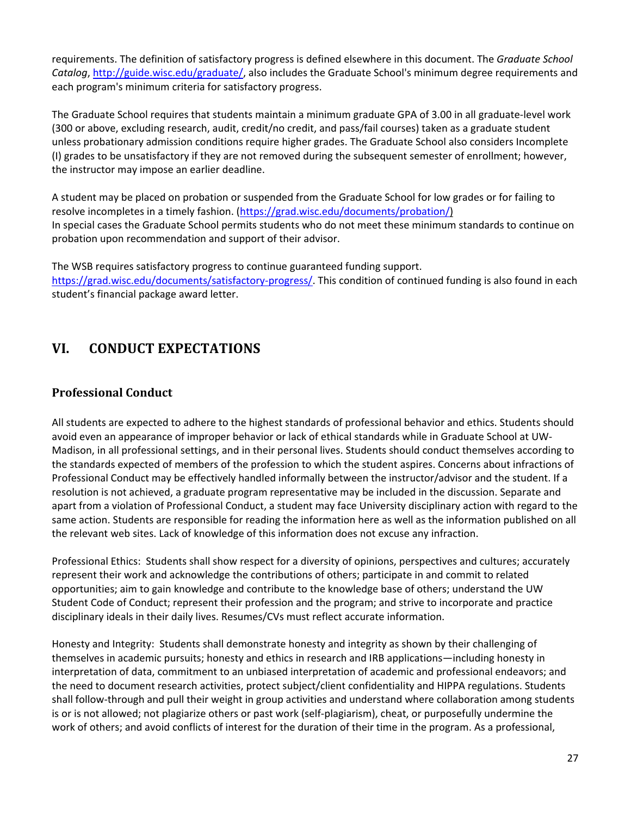requirements. The definition of satisfactory progress is defined elsewhere in this document. The *Graduate School Catalog*, [http://guide.wisc.edu/graduate/,](http://guide.wisc.edu/graduate/) also includes the Graduate School's minimum degree requirements and each program's minimum criteria for satisfactory progress.

The Graduate School requires that students maintain a minimum graduate GPA of 3.00 in all graduate-level work (300 or above, excluding research, audit, credit/no credit, and pass/fail courses) taken as a graduate student unless probationary admission conditions require higher grades. The Graduate School also considers Incomplete (I) grades to be unsatisfactory if they are not removed during the subsequent semester of enrollment; however, the instructor may impose an earlier deadline.

A student may be placed on probation or suspended from the Graduate School for low grades or for failing to resolve incompletes in a timely fashion. [\(https://grad.wisc.edu/documents/probation/\)](https://grad.wisc.edu/documents/probation/) In special cases the Graduate School permits students who do not meet these minimum standards to continue on probation upon recommendation and support of their advisor.

The WSB requires satisfactory progress to continue guaranteed funding support. [https://grad.wisc.edu/documents/satisfactory-progress/.](https://grad.wisc.edu/documents/satisfactory-progress/) This condition of continued funding is also found in each student's financial package award letter.

# <span id="page-27-0"></span>**VI. CONDUCT EXPECTATIONS**

# <span id="page-27-1"></span>**Professional Conduct**

All students are expected to adhere to the highest standards of professional behavior and ethics. Students should avoid even an appearance of improper behavior or lack of ethical standards while in Graduate School at UW-Madison, in all professional settings, and in their personal lives. Students should conduct themselves according to the standards expected of members of the profession to which the student aspires. Concerns about infractions of Professional Conduct may be effectively handled informally between the instructor/advisor and the student. If a resolution is not achieved, a graduate program representative may be included in the discussion. Separate and apart from a violation of Professional Conduct, a student may face University disciplinary action with regard to the same action. Students are responsible for reading the information here as well as the information published on all the relevant web sites. Lack of knowledge of this information does not excuse any infraction.

Professional Ethics: Students shall show respect for a diversity of opinions, perspectives and cultures; accurately represent their work and acknowledge the contributions of others; participate in and commit to related opportunities; aim to gain knowledge and contribute to the knowledge base of others; understand the UW Student Code of Conduct; represent their profession and the program; and strive to incorporate and practice disciplinary ideals in their daily lives. Resumes/CVs must reflect accurate information.

Honesty and Integrity: Students shall demonstrate honesty and integrity as shown by their challenging of themselves in academic pursuits; honesty and ethics in research and IRB applications—including honesty in interpretation of data, commitment to an unbiased interpretation of academic and professional endeavors; and the need to document research activities, protect subject/client confidentiality and HIPPA regulations. Students shall follow-through and pull their weight in group activities and understand where collaboration among students is or is not allowed; not plagiarize others or past work (self-plagiarism), cheat, or purposefully undermine the work of others; and avoid conflicts of interest for the duration of their time in the program. As a professional,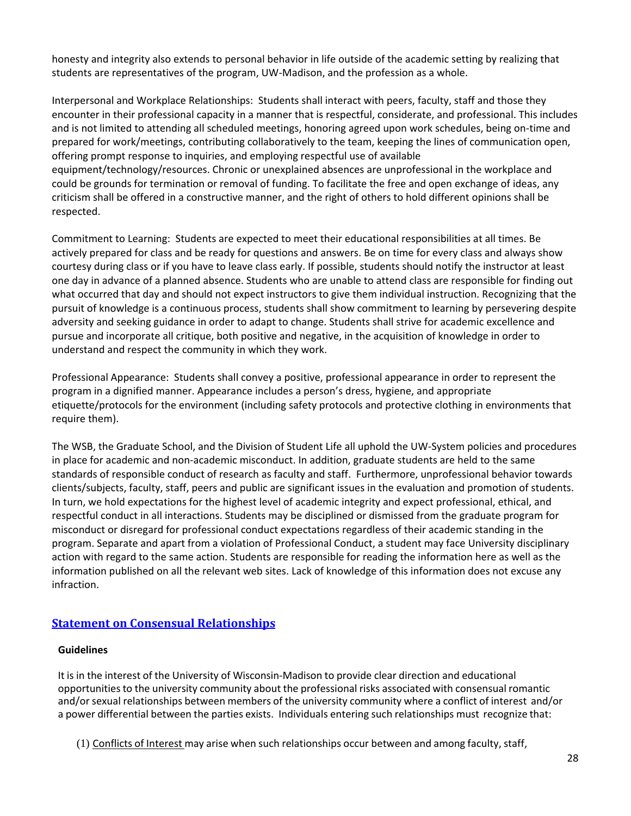honesty and integrity also extends to personal behavior in life outside of the academic setting by realizing that students are representatives of the program, UW-Madison, and the profession as a whole.

Interpersonal and Workplace Relationships: Students shall interact with peers, faculty, staff and those they encounter in their professional capacity in a manner that is respectful, considerate, and professional. This includes and is not limited to attending all scheduled meetings, honoring agreed upon work schedules, being on-time and prepared for work/meetings, contributing collaboratively to the team, keeping the lines of communication open, offering prompt response to inquiries, and employing respectful use of available equipment/technology/resources. Chronic or unexplained absences are unprofessional in the workplace and could be grounds for termination or removal of funding. To facilitate the free and open exchange of ideas, any criticism shall be offered in a constructive manner, and the right of others to hold different opinions shall be respected.

Commitment to Learning: Students are expected to meet their educational responsibilities at all times. Be actively prepared for class and be ready for questions and answers. Be on time for every class and always show courtesy during class or if you have to leave class early. If possible, students should notify the instructor at least one day in advance of a planned absence. Students who are unable to attend class are responsible for finding out what occurred that day and should not expect instructors to give them individual instruction. Recognizing that the pursuit of knowledge is a continuous process, students shall show commitment to learning by persevering despite adversity and seeking guidance in order to adapt to change. Students shall strive for academic excellence and pursue and incorporate all critique, both positive and negative, in the acquisition of knowledge in order to understand and respect the community in which they work.

Professional Appearance: Students shall convey a positive, professional appearance in order to represent the program in a dignified manner. Appearance includes a person's dress, hygiene, and appropriate etiquette/protocols for the environment (including safety protocols and protective clothing in environments that require them).

The WSB, the Graduate School, and the Division of Student Life all uphold the UW-System policies and procedures in place for academic and non-academic misconduct. In addition, graduate students are held to the same standards of responsible conduct of research as faculty and staff. Furthermore, unprofessional behavior towards clients/subjects, faculty, staff, peers and public are significant issues in the evaluation and promotion of students. In turn, we hold expectations for the highest level of academic integrity and expect professional, ethical, and respectful conduct in all interactions. Students may be disciplined or dismissed from the graduate program for misconduct or disregard for professional conduct expectations regardless of their academic standing in the program. Separate and apart from a violation of Professional Conduct, a student may face University disciplinary action with regard to the same action. Students are responsible for reading the information here as well as the information published on all the relevant web sites. Lack of knowledge of this information does not excuse any infraction.

# <span id="page-28-0"></span>**[Statement on Consensual Relationships](https://secfac.wisc.edu/governance/faculty-legislation/ii-307-statement-on-consensual-relationships/)**

#### **Guidelines**

It is in the interest of the University of Wisconsin-Madison to provide clear direction and educational opportunitiesto the university community about the professional risks associated with consensual romantic and/or sexual relationships between members of the university community where a conflict of interest and/or a power differential between the parties exists. Individuals entering such relationships must recognize that:

(1) Conflicts of Interest may arise when such relationships occur between and among faculty, staff,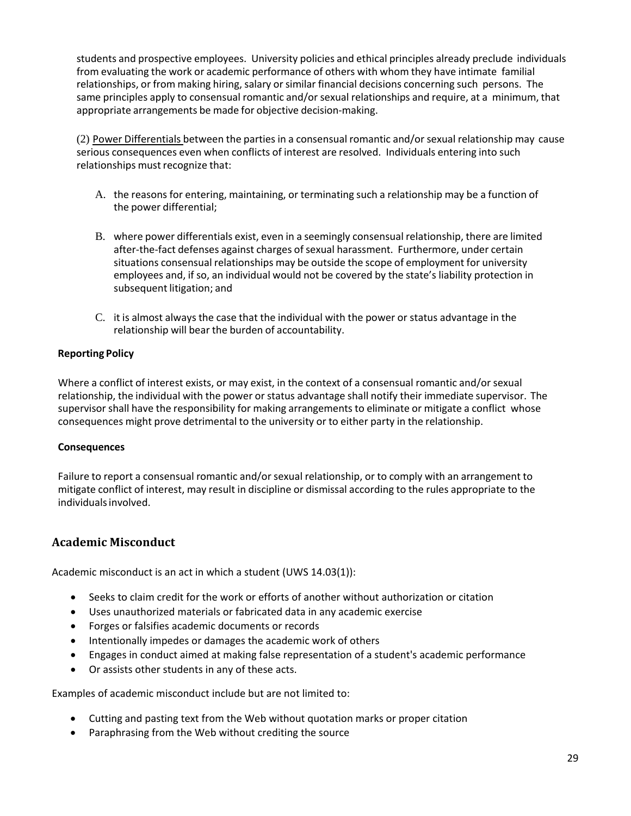students and prospective employees. University policies and ethical principles already preclude individuals from evaluating the work or academic performance of others with whom they have intimate familial relationships, or from making hiring, salary or similar financial decisions concerning such persons. The same principles apply to consensual romantic and/or sexual relationships and require, at a minimum, that appropriate arrangements be made for objective decision-making.

(2) Power Differentials between the parties in a consensual romantic and/or sexual relationship may cause serious consequences even when conflicts of interest are resolved. Individuals entering into such relationships must recognize that:

- A. the reasons for entering, maintaining, or terminating such a relationship may be a function of the power differential;
- B. where power differentials exist, even in a seemingly consensual relationship, there are limited after-the-fact defenses against charges of sexual harassment. Furthermore, under certain situations consensual relationships may be outside the scope of employment for university employees and, if so, an individual would not be covered by the state's liability protection in subsequent litigation; and
- C. it is almost always the case that the individual with the power or status advantage in the relationship will bear the burden of accountability.

#### **Reporting Policy**

Where a conflict of interest exists, or may exist, in the context of a consensual romantic and/or sexual relationship, the individual with the power or status advantage shall notify their immediate supervisor. The supervisor shall have the responsibility for making arrangements to eliminate or mitigate a conflict whose consequences might prove detrimental to the university or to either party in the relationship.

#### **Consequences**

Failure to report a consensual romantic and/or sexual relationship, or to comply with an arrangement to mitigate conflict of interest, may result in discipline or dismissal according to the rules appropriate to the individuals involved.

#### <span id="page-29-0"></span>**Academic Misconduct**

Academic misconduct is an act in which a student (UWS 14.03(1)):

- Seeks to claim credit for the work or efforts of another without authorization or citation
- Uses unauthorized materials or fabricated data in any academic exercise
- Forges or falsifies academic documents or records
- Intentionally impedes or damages the academic work of others
- Engages in conduct aimed at making false representation of a student's academic performance
- Or assists other students in any of these acts.

Examples of academic misconduct include but are not limited to:

- Cutting and pasting text from the Web without quotation marks or proper citation
- Paraphrasing from the Web without crediting the source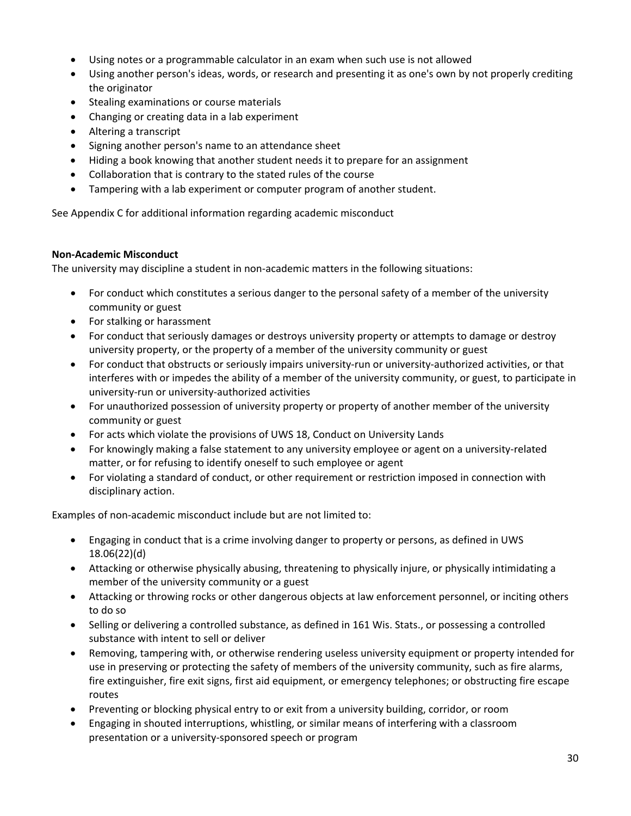- Using notes or a programmable calculator in an exam when such use is not allowed
- Using another person's ideas, words, or research and presenting it as one's own by not properly crediting the originator
- Stealing examinations or course materials
- Changing or creating data in a lab experiment
- Altering a transcript
- Signing another person's name to an attendance sheet
- Hiding a book knowing that another student needs it to prepare for an assignment
- Collaboration that is contrary to the stated rules of the course
- Tampering with a lab experiment or computer program of another student.

See Appendix C for additional information regarding academic misconduct

#### <span id="page-30-0"></span>**Non-Academic Misconduct**

The university may discipline a student in non-academic matters in the following situations:

- For conduct which constitutes a serious danger to the personal safety of a member of the university community or guest
- For stalking or harassment
- For conduct that seriously damages or destroys university property or attempts to damage or destroy university property, or the property of a member of the university community or guest
- For conduct that obstructs or seriously impairs university-run or university-authorized activities, or that interferes with or impedes the ability of a member of the university community, or guest, to participate in university-run or university-authorized activities
- For unauthorized possession of university property or property of another member of the university community or guest
- For acts which violate the provisions of UWS 18, Conduct on University Lands
- For knowingly making a false statement to any university employee or agent on a university-related matter, or for refusing to identify oneself to such employee or agent
- For violating a standard of conduct, or other requirement or restriction imposed in connection with disciplinary action.

Examples of non-academic misconduct include but are not limited to:

- Engaging in conduct that is a crime involving danger to property or persons, as defined in UWS 18.06(22)(d)
- Attacking or otherwise physically abusing, threatening to physically injure, or physically intimidating a member of the university community or a guest
- Attacking or throwing rocks or other dangerous objects at law enforcement personnel, or inciting others to do so
- Selling or delivering a controlled substance, as defined in 161 Wis. Stats., or possessing a controlled substance with intent to sell or deliver
- Removing, tampering with, or otherwise rendering useless university equipment or property intended for use in preserving or protecting the safety of members of the university community, such as fire alarms, fire extinguisher, fire exit signs, first aid equipment, or emergency telephones; or obstructing fire escape routes
- Preventing or blocking physical entry to or exit from a university building, corridor, or room
- Engaging in shouted interruptions, whistling, or similar means of interfering with a classroom presentation or a university-sponsored speech or program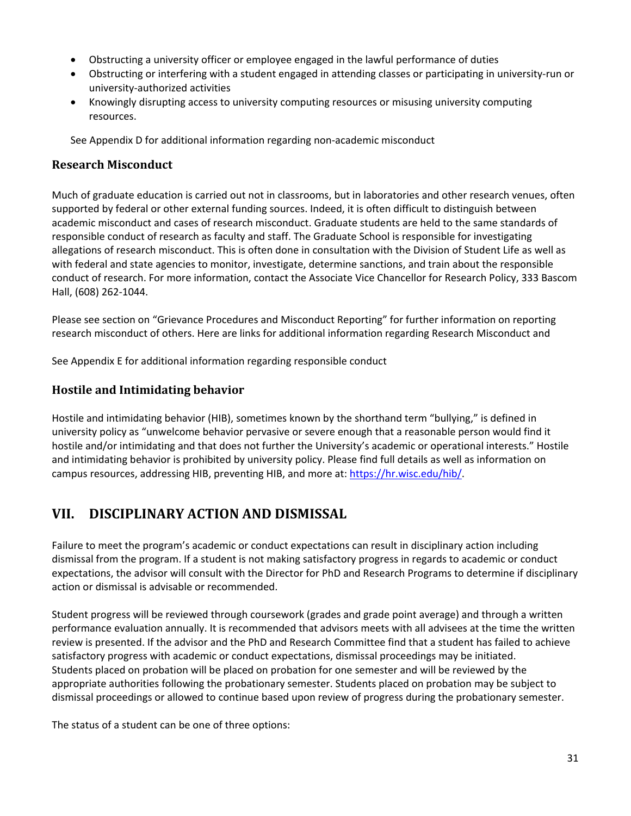- Obstructing a university officer or employee engaged in the lawful performance of duties
- Obstructing or interfering with a student engaged in attending classes or participating in university-run or university-authorized activities
- Knowingly disrupting access to university computing resources or misusing university computing resources.

See Appendix D for additional information regarding non-academic misconduct

## <span id="page-31-0"></span>**Research Misconduct**

Much of graduate education is carried out not in classrooms, but in laboratories and other research venues, often supported by federal or other external funding sources. Indeed, it is often difficult to distinguish between academic misconduct and cases of research misconduct. Graduate students are held to the same standards of responsible conduct of research as faculty and staff. The Graduate School is responsible for investigating allegations of research misconduct. This is often done in consultation with the Division of Student Life as well as with federal and state agencies to monitor, investigate, determine sanctions, and train about the responsible conduct of research. For more information, contact the Associate Vice Chancellor for Research Policy, 333 Bascom Hall, (608) 262-1044.

Please see section on "Grievance Procedures and Misconduct Reporting" for further information on reporting research misconduct of others. Here are links for additional information regarding Research Misconduct and

See Appendix E for additional information regarding responsible conduct

# <span id="page-31-1"></span>**Hostile and Intimidating behavior**

Hostile and intimidating behavior (HIB), sometimes known by the shorthand term "bullying," is defined in university policy as "unwelcome behavior pervasive or severe enough that a reasonable person would find it hostile and/or intimidating and that does not further the University's academic or operational interests." Hostile and intimidating behavior is prohibited by university policy. Please find full details as well as information on campus resources, addressing HIB, preventing HIB, and more at: [https://hr.wisc.edu/hib/.](https://hr.wisc.edu/hib/)

# <span id="page-31-2"></span>**VII. DISCIPLINARY ACTION AND DISMISSAL**

Failure to meet the program's academic or conduct expectations can result in disciplinary action including dismissal from the program. If a student is not making satisfactory progress in regards to academic or conduct expectations, the advisor will consult with the Director for PhD and Research Programs to determine if disciplinary action or dismissal is advisable or recommended.

Student progress will be reviewed through coursework (grades and grade point average) and through a written performance evaluation annually. It is recommended that advisors meets with all advisees at the time the written review is presented. If the advisor and the PhD and Research Committee find that a student has failed to achieve satisfactory progress with academic or conduct expectations, dismissal proceedings may be initiated. Students placed on probation will be placed on probation for one semester and will be reviewed by the appropriate authorities following the probationary semester. Students placed on probation may be subject to dismissal proceedings or allowed to continue based upon review of progress during the probationary semester.

The status of a student can be one of three options: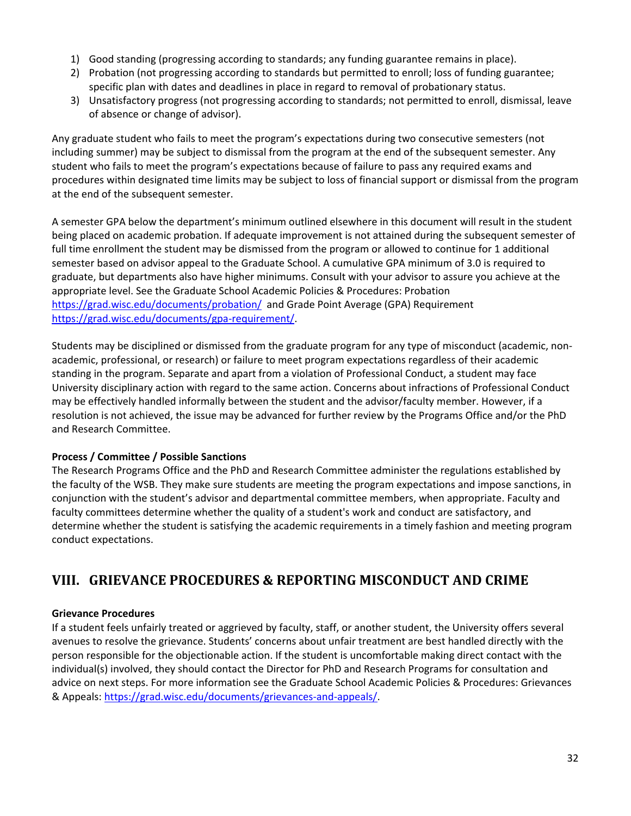- 1) Good standing (progressing according to standards; any funding guarantee remains in place).
- 2) Probation (not progressing according to standards but permitted to enroll; loss of funding guarantee; specific plan with dates and deadlines in place in regard to removal of probationary status.
- 3) Unsatisfactory progress (not progressing according to standards; not permitted to enroll, dismissal, leave of absence or change of advisor).

Any graduate student who fails to meet the program's expectations during two consecutive semesters (not including summer) may be subject to dismissal from the program at the end of the subsequent semester. Any student who fails to meet the program's expectations because of failure to pass any required exams and procedures within designated time limits may be subject to loss of financial support or dismissal from the program at the end of the subsequent semester.

A semester GPA below the department's minimum outlined elsewhere in this document will result in the student being placed on academic probation. If adequate improvement is not attained during the subsequent semester of full time enrollment the student may be dismissed from the program or allowed to continue for 1 additional semester based on advisor appeal to the Graduate School. A cumulative GPA minimum of 3.0 is required to graduate, but departments also have higher minimums. Consult with your advisor to assure you achieve at the appropriate level. See the Graduate School Academic Policies & Procedures: Probation <https://grad.wisc.edu/documents/probation/> and Grade Point Average (GPA) Requirement [https://grad.wisc.edu/documents/gpa-requirement/.](https://grad.wisc.edu/documents/gpa-requirement/)

Students may be disciplined or dismissed from the graduate program for any type of misconduct (academic, nonacademic, professional, or research) or failure to meet program expectations regardless of their academic standing in the program. Separate and apart from a violation of Professional Conduct, a student may face University disciplinary action with regard to the same action. Concerns about infractions of Professional Conduct may be effectively handled informally between the student and the advisor/faculty member. However, if a resolution is not achieved, the issue may be advanced for further review by the Programs Office and/or the PhD and Research Committee.

#### **Process / Committee / Possible Sanctions**

The Research Programs Office and the PhD and Research Committee administer the regulations established by the faculty of the WSB. They make sure students are meeting the program expectations and impose sanctions, in conjunction with the student's advisor and departmental committee members, when appropriate. Faculty and faculty committees determine whether the quality of a student's work and conduct are satisfactory, and determine whether the student is satisfying the academic requirements in a timely fashion and meeting program conduct expectations.

# <span id="page-32-0"></span>**VIII. GRIEVANCE PROCEDURES & REPORTING MISCONDUCT AND CRIME**

#### <span id="page-32-1"></span>**Grievance Procedures**

If a student feels unfairly treated or aggrieved by faculty, staff, or another student, the University offers several avenues to resolve the grievance. Students' concerns about unfair treatment are best handled directly with the person responsible for the objectionable action. If the student is uncomfortable making direct contact with the individual(s) involved, they should contact the Director for PhD and Research Programs for consultation and advice on next steps. For more information see the Graduate School Academic Policies & Procedures: Grievances & Appeals: [https://grad.wisc.edu/documents/grievances-and-appeals/.](https://grad.wisc.edu/documents/grievances-and-appeals/)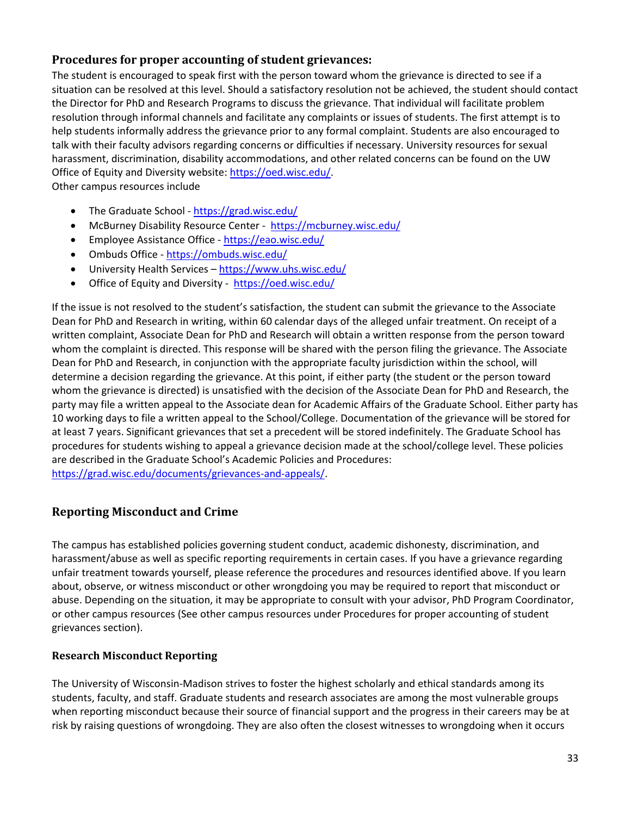# <span id="page-33-0"></span>**Procedures for proper accounting of student grievances:**

The student is encouraged to speak first with the person toward whom the grievance is directed to see if a situation can be resolved at this level. Should a satisfactory resolution not be achieved, the student should contact the Director for PhD and Research Programs to discuss the grievance. That individual will facilitate problem resolution through informal channels and facilitate any complaints or issues of students. The first attempt is to help students informally address the grievance prior to any formal complaint. Students are also encouraged to talk with their faculty advisors regarding concerns or difficulties if necessary. University resources for sexual harassment, discrimination, disability accommodations, and other related concerns can be found on the UW Office of Equity and Diversity website: [https://oed.wisc.edu/.](https://oed.wisc.edu/) Other campus resources include

• The Graduate School - <https://grad.wisc.edu/>

- McBurney Disability Resource Center <https://mcburney.wisc.edu/>
- Employee Assistance Office <https://eao.wisc.edu/>
- Ombuds Office <https://ombuds.wisc.edu/>
- University Health Services <https://www.uhs.wisc.edu/>
- Office of Equity and Diversity <https://oed.wisc.edu/>

If the issue is not resolved to the student's satisfaction, the student can submit the grievance to the Associate Dean for PhD and Research in writing, within 60 calendar days of the alleged unfair treatment. On receipt of a written complaint, Associate Dean for PhD and Research will obtain a written response from the person toward whom the complaint is directed. This response will be shared with the person filing the grievance. The Associate Dean for PhD and Research, in conjunction with the appropriate faculty jurisdiction within the school, will determine a decision regarding the grievance. At this point, if either party (the student or the person toward whom the grievance is directed) is unsatisfied with the decision of the Associate Dean for PhD and Research, the party may file a written appeal to the Associate dean for Academic Affairs of the Graduate School. Either party has 10 working days to file a written appeal to the School/College. Documentation of the grievance will be stored for at least 7 years. Significant grievances that set a precedent will be stored indefinitely. The Graduate School has procedures for students wishing to appeal a grievance decision made at the school/college level. These policies are described in the Graduate School's Academic Policies and Procedures: [https://grad.wisc.edu/documents/grievances-and-appeals/.](https://grad.wisc.edu/documents/grievances-and-appeals/)

# <span id="page-33-1"></span>**Reporting Misconduct and Crime**

The campus has established policies governing student conduct, academic dishonesty, discrimination, and harassment/abuse as well as specific reporting requirements in certain cases. If you have a grievance regarding unfair treatment towards yourself, please reference the procedures and resources identified above. If you learn about, observe, or witness misconduct or other wrongdoing you may be required to report that misconduct or abuse. Depending on the situation, it may be appropriate to consult with your advisor, PhD Program Coordinator, or other campus resources (See other campus resources under Procedures for proper accounting of student grievances section).

#### <span id="page-33-2"></span>**Research Misconduct Reporting**

The University of Wisconsin-Madison strives to foster the highest scholarly and ethical standards among its students, faculty, and staff. Graduate students and research associates are among the most vulnerable groups when reporting misconduct because their source of financial support and the progress in their careers may be at risk by raising questions of wrongdoing. They are also often the closest witnesses to wrongdoing when it occurs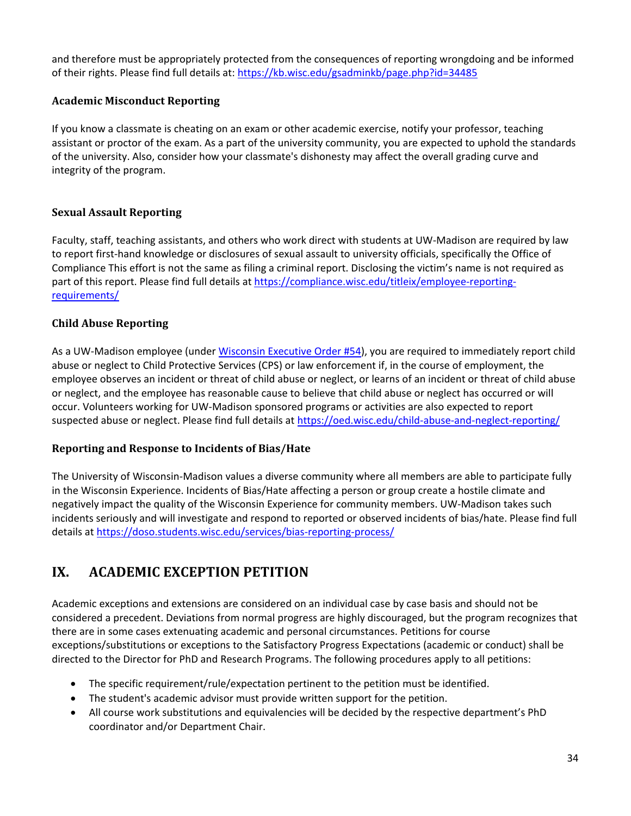and therefore must be appropriately protected from the consequences of reporting wrongdoing and be informed of their rights. Please find full details at[: https://kb.wisc.edu/gsadminkb/page.php?id=34485](https://kb.wisc.edu/gsadminkb/page.php?id=34485)

## <span id="page-34-0"></span>**Academic Misconduct Reporting**

If you know a classmate is cheating on an exam or other academic exercise, notify your professor, teaching assistant or proctor of the exam. As a part of the university community, you are expected to uphold the standards of the university. Also, consider how your classmate's dishonesty may affect the overall grading curve and integrity of the program.

## <span id="page-34-1"></span>**Sexual Assault Reporting**

Faculty, staff, teaching assistants, and others who work direct with students at UW-Madison are required by law to report first-hand knowledge or disclosures of sexual assault to university officials, specifically the Office of Compliance This effort is not the same as filing a criminal report. Disclosing the victim's name is not required as part of this report. Please find full details at [https://compliance.wisc.edu/titleix/employee-reporting](https://compliance.wisc.edu/titleix/employee-reporting-requirements/)[requirements/](https://compliance.wisc.edu/titleix/employee-reporting-requirements/)

#### <span id="page-34-2"></span>**Child Abuse Reporting**

As a UW-Madison employee (under [Wisconsin Executive Order #54\)](http://docs.legis.wisconsin.gov/code/executive_orders/2011_scott_walker/2011-54.pdf), you are required to immediately report child abuse or neglect to Child Protective Services (CPS) or law enforcement if, in the course of employment, the employee observes an incident or threat of child abuse or neglect, or learns of an incident or threat of child abuse or neglect, and the employee has reasonable cause to believe that child abuse or neglect has occurred or will occur. Volunteers working for UW-Madison sponsored programs or activities are also expected to report suspected abuse or neglect. Please find full details a[t https://oed.wisc.edu/child-abuse-and-neglect-reporting/](https://oed.wisc.edu/child-abuse-and-neglect-reporting/)

#### <span id="page-34-3"></span>**Reporting and Response to Incidents of Bias/Hate**

The University of Wisconsin-Madison values a diverse community where all members are able to participate fully in the Wisconsin Experience. Incidents of Bias/Hate affecting a person or group create a hostile climate and negatively impact the quality of the Wisconsin Experience for community members. UW-Madison takes such incidents seriously and will investigate and respond to reported or observed incidents of bias/hate. Please find full details at<https://doso.students.wisc.edu/services/bias-reporting-process/>

# <span id="page-34-4"></span>**IX. ACADEMIC EXCEPTION PETITION**

Academic exceptions and extensions are considered on an individual case by case basis and should not be considered a precedent. Deviations from normal progress are highly discouraged, but the program recognizes that there are in some cases extenuating academic and personal circumstances. Petitions for course exceptions/substitutions or exceptions to the Satisfactory Progress Expectations (academic or conduct) shall be directed to the Director for PhD and Research Programs. The following procedures apply to all petitions:

- The specific requirement/rule/expectation pertinent to the petition must be identified.
- The student's academic advisor must provide written support for the petition.
- All course work substitutions and equivalencies will be decided by the respective department's PhD coordinator and/or Department Chair.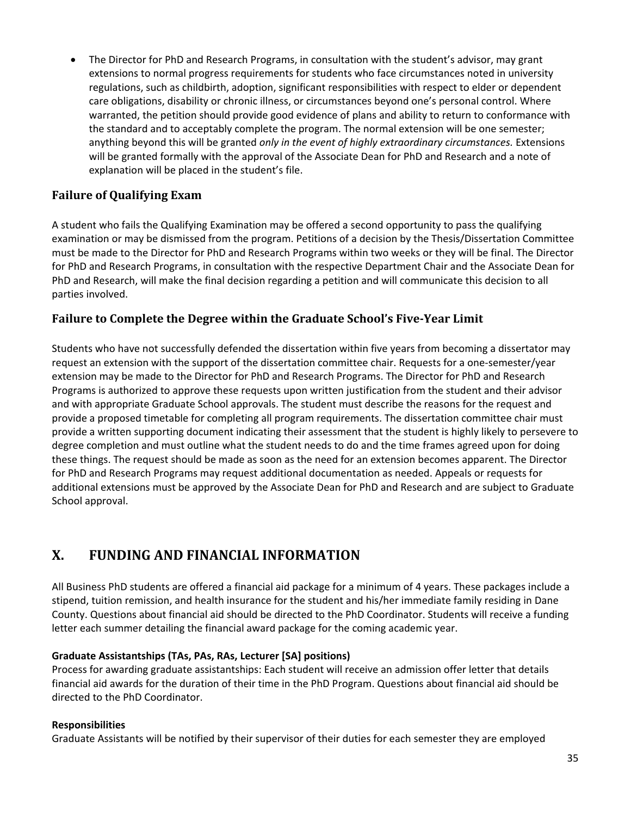• The Director for PhD and Research Programs, in consultation with the student's advisor, may grant extensions to normal progress requirements for students who face circumstances noted in university regulations, such as childbirth, adoption, significant responsibilities with respect to elder or dependent care obligations, disability or chronic illness, or circumstances beyond one's personal control. Where warranted, the petition should provide good evidence of plans and ability to return to conformance with the standard and to acceptably complete the program. The normal extension will be one semester; anything beyond this will be granted *only in the event of highly extraordinary circumstances.* Extensions will be granted formally with the approval of the Associate Dean for PhD and Research and a note of explanation will be placed in the student's file.

# <span id="page-35-0"></span>**Failure of Qualifying Exam**

A student who fails the Qualifying Examination may be offered a second opportunity to pass the qualifying examination or may be dismissed from the program. Petitions of a decision by the Thesis/Dissertation Committee must be made to the Director for PhD and Research Programs within two weeks or they will be final. The Director for PhD and Research Programs, in consultation with the respective Department Chair and the Associate Dean for PhD and Research, will make the final decision regarding a petition and will communicate this decision to all parties involved.

#### <span id="page-35-1"></span>**Failure to Complete the Degree within the Graduate School's Five-Year Limit**

Students who have not successfully defended the dissertation within five years from becoming a dissertator may request an extension with the support of the dissertation committee chair. Requests for a one-semester/year extension may be made to the Director for PhD and Research Programs. The Director for PhD and Research Programs is authorized to approve these requests upon written justification from the student and their advisor and with appropriate Graduate School approvals. The student must describe the reasons for the request and provide a proposed timetable for completing all program requirements. The dissertation committee chair must provide a written supporting document indicating their assessment that the student is highly likely to persevere to degree completion and must outline what the student needs to do and the time frames agreed upon for doing these things. The request should be made as soon as the need for an extension becomes apparent. The Director for PhD and Research Programs may request additional documentation as needed. Appeals or requests for additional extensions must be approved by the Associate Dean for PhD and Research and are subject to Graduate School approval.

# <span id="page-35-2"></span>**X. FUNDING AND FINANCIAL INFORMATION**

All Business PhD students are offered a financial aid package for a minimum of 4 years. These packages include a stipend, tuition remission, and health insurance for the student and his/her immediate family residing in Dane County. Questions about financial aid should be directed to the PhD Coordinator. Students will receive a funding letter each summer detailing the financial award package for the coming academic year.

#### **Graduate Assistantships (TAs, PAs, RAs, Lecturer [SA] positions)**

Process for awarding graduate assistantships: Each student will receive an admission offer letter that details financial aid awards for the duration of their time in the PhD Program. Questions about financial aid should be directed to the PhD Coordinator.

#### **Responsibilities**

Graduate Assistants will be notified by their supervisor of their duties for each semester they are employed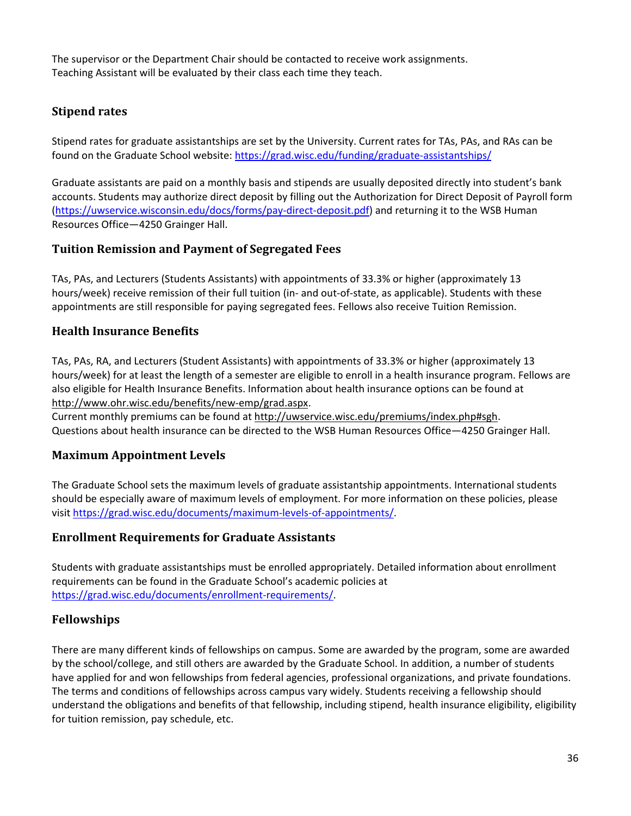The supervisor or the Department Chair should be contacted to receive work assignments. Teaching Assistant will be evaluated by their class each time they teach.

# <span id="page-36-0"></span>**Stipend rates**

Stipend rates for graduate assistantships are set by the University. Current rates for TAs, PAs, and RAs can be found on the Graduate School website: <https://grad.wisc.edu/funding/graduate-assistantships/>

Graduate assistants are paid on a monthly basis and stipends are usually deposited directly into student's bank accounts. Students may authorize direct deposit by filling out the Authorization for Direct Deposit of Payroll form [\(https://uwservice.wisconsin.edu/docs/forms/pay-direct-deposit.pdf\)](https://uwservice.wisconsin.edu/docs/forms/pay-direct-deposit.pdf) and returning it to the WSB Human Resources Office—4250 Grainger Hall.

# <span id="page-36-1"></span>**Tuition Remission and Payment of Segregated Fees**

TAs, PAs, and Lecturers (Students Assistants) with appointments of 33.3% or higher (approximately 13 hours/week) receive remission of their full tuition (in- and out-of-state, as applicable). Students with these appointments are still responsible for paying segregated fees. Fellows also receive Tuition Remission.

# <span id="page-36-2"></span>**Health Insurance Benefits**

TAs, PAs, RA, and Lecturers (Student Assistants) with appointments of 33.3% or higher (approximately 13 hours/week) for at least the length of a semester are eligible to enroll in a health insurance program. Fellows are also eligible for Health Insurance Benefits. Information about health insurance options can be found at <http://www.ohr.wisc.edu/benefits/new-emp/grad.aspx>.

Current monthly premiums can be found at [http://uwservice.wisc.edu/premiums/index.php#sgh](http://uwservice.wisc.edu/premiums/index.php). Questions about health insurance can be directed to the WSB Human Resources Office—4250 Grainger Hall.

# <span id="page-36-3"></span>**Maximum Appointment Levels**

The Graduate School sets the maximum levels of graduate assistantship appointments. International students should be especially aware of maximum levels of employment. For more information on these policies, please visit [https://grad.wisc.edu/documents/maximum-levels-of-appointments/.](https://grad.wisc.edu/documents/maximum-levels-of-appointments/)

# <span id="page-36-4"></span>**Enrollment Requirements for Graduate Assistants**

Students with graduate assistantships must be enrolled appropriately. Detailed information about enrollment requirements can be found in the Graduate School's academic policies at [https://grad.wisc.edu/documents/enrollment-requirements/.](https://grad.wisc.edu/documents/enrollment-requirements/)

# <span id="page-36-5"></span>**Fellowships**

There are many different kinds of fellowships on campus. Some are awarded by the program, some are awarded by the school/college, and still others are awarded by the Graduate School. In addition, a number of students have applied for and won fellowships from federal agencies, professional organizations, and private foundations. The terms and conditions of fellowships across campus vary widely. Students receiving a fellowship should understand the obligations and benefits of that fellowship, including stipend, health insurance eligibility, eligibility for tuition remission, pay schedule, etc.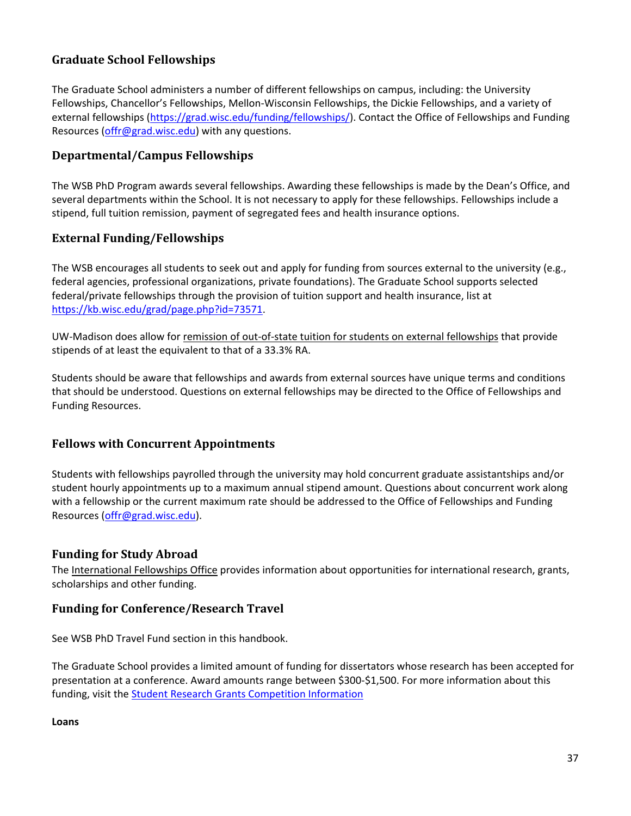# <span id="page-37-0"></span>**Graduate School Fellowships**

The Graduate School administers a number of different fellowships on campus, including: the University Fellowships, Chancellor's Fellowships, Mellon-Wisconsin Fellowships, the Dickie Fellowships, and a variety of external fellowships [\(https://grad.wisc.edu/funding/fellowships/\)](https://grad.wisc.edu/funding/fellowships/). Contact the Office of Fellowships and Funding Resources [\(offr@grad.wisc.edu\)](mailto:offr@grad.wisc.edu) with any questions.

# <span id="page-37-1"></span>**Departmental/Campus Fellowships**

The WSB PhD Program awards several fellowships. Awarding these fellowships is made by the Dean's Office, and several departments within the School. It is not necessary to apply for these fellowships. Fellowships include a stipend, full tuition remission, payment of segregated fees and health insurance options.

# <span id="page-37-2"></span>**External Funding/Fellowships**

The WSB encourages all students to seek out and apply for funding from sources external to the university (e.g., federal agencies, professional organizations, private foundations). The Graduate School supports selected federal/private fellowships through the provision of tuition support and health insurance, list at [https://kb.wisc.edu/grad/page.php?id=73571.](https://kb.wisc.edu/grad/page.php?id=73571)

UW-Madison does allow for [remission of out-of-state tuition for students on external fellowships](https://kb.wisc.edu/gsadminkb/page.php?id=33035) that provide stipends of at least the equivalent to that of a 33.3% RA.

Students should be aware that fellowships and awards from external sources have unique terms and conditions that should be understood. Questions on external fellowships may be directed to the Office of Fellowships and Funding Resources.

# <span id="page-37-3"></span>**Fellows with Concurrent Appointments**

Students with fellowships payrolled through the university may hold concurrent graduate assistantships and/or student hourly appointments up to a maximum annual stipend amount. Questions about concurrent work along with a fellowship or the current maximum rate should be addressed to the Office of Fellowships and Funding Resources [\(offr@grad.wisc.edu\)](mailto:offr@grad.wisc.edu).

# <span id="page-37-4"></span>**Funding for Study Abroad**

The [International Fellowships Office](http://fellowships.international.wisc.edu/) provides information about opportunities for international research, grants, scholarships and other funding.

# <span id="page-37-5"></span>**Funding for Conference/Research Travel**

See WSB PhD Travel Fund section in this handbook.

The Graduate School provides a limited amount of funding for dissertators whose research has been accepted for presentation at a conference. Award amounts range between \$300-\$1,500. For more information about this funding, visit the **[Student Research Grants Competition Information](https://grad.wisc.edu/funding/grants-competition/)** 

**Loans**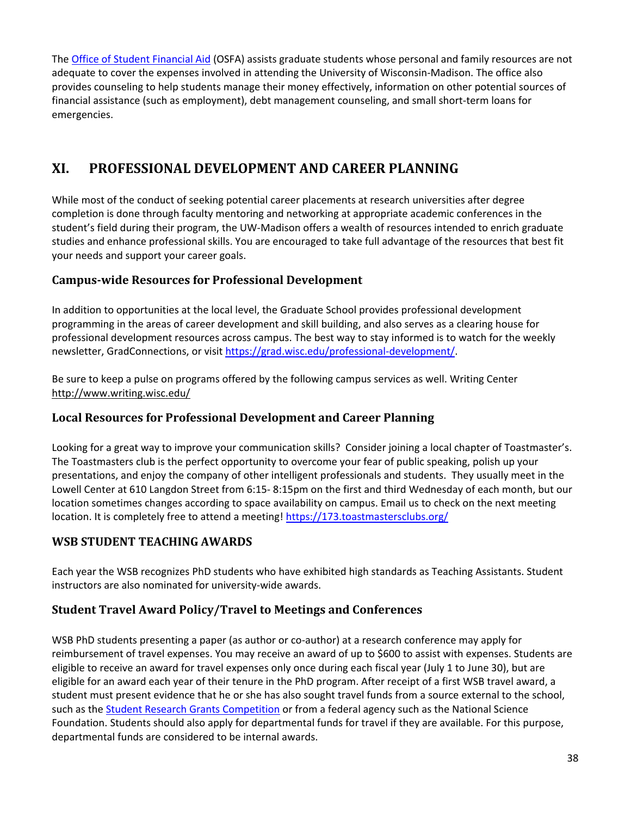The [Office of Student Financial Aid](https://financialaid.wisc.edu/) (OSFA) assists graduate students whose personal and family resources are not adequate to cover the expenses involved in attending the University of Wisconsin-Madison. The office also provides counseling to help students manage their money effectively, information on other potential sources of financial assistance (such as employment), debt management counseling, and small short-term loans for emergencies.

# <span id="page-38-0"></span>**XI. PROFESSIONAL DEVELOPMENT AND CAREER PLANNING**

While most of the conduct of seeking potential career placements at research universities after degree completion is done through faculty mentoring and networking at appropriate academic conferences in the student's field during their program, the UW-Madison offers a wealth of resources intended to enrich graduate studies and enhance professional skills. You are encouraged to take full advantage of the resources that best fit your needs and support your career goals.

# <span id="page-38-1"></span>**Campus-wide Resources for Professional Development**

In addition to opportunities at the local level, the Graduate School provides professional development programming in the areas of career development and skill building, and also serves as a clearing house for professional development resources across campus. The best way to stay informed is to watch for the weekly newsletter, GradConnections, or visit [https://grad.wisc.edu/professional-development/.](https://grad.wisc.edu/professional-development/)

Be sure to keep a pulse on programs offered by the following campus services as well. Writing Center <http://www.writing.wisc.edu/>

# <span id="page-38-2"></span>**Local Resources for Professional Development and Career Planning**

Looking for a great way to improve your communication skills? Consider joining a local chapter of Toastmaster's. The Toastmasters club is the perfect opportunity to overcome your fear of public speaking, polish up your presentations, and enjoy the company of other intelligent professionals and students. They usually meet in the Lowell Center at 610 Langdon Street from 6:15- 8:15pm on the first and third Wednesday of each month, but our location sometimes changes according to space availability on campus. Email us to check on the next meeting location. It is completely free to attend a meeting! <https://173.toastmastersclubs.org/>

# <span id="page-38-3"></span>**WSB STUDENT TEACHING AWARDS**

Each year the WSB recognizes PhD students who have exhibited high standards as Teaching Assistants. Student instructors are also nominated for university-wide awards.

# <span id="page-38-4"></span>**Student Travel Award Policy/Travel to Meetings and Conferences**

WSB PhD students presenting a paper (as author or co-author) at a research conference may apply for reimbursement of travel expenses. You may receive an award of up to \$600 to assist with expenses. Students are eligible to receive an award for travel expenses only once during each fiscal year (July 1 to June 30), but are eligible for an award each year of their tenure in the PhD program. After receipt of a first WSB travel award, a student must present evidence that he or she has also sought travel funds from a source external to the school, such as the [Student Research Grants Competition](https://grad.wisc.edu/funding/grants-competition/) or from a federal agency such as the National Science Foundation. Students should also apply for departmental funds for travel if they are available. For this purpose, departmental funds are considered to be internal awards.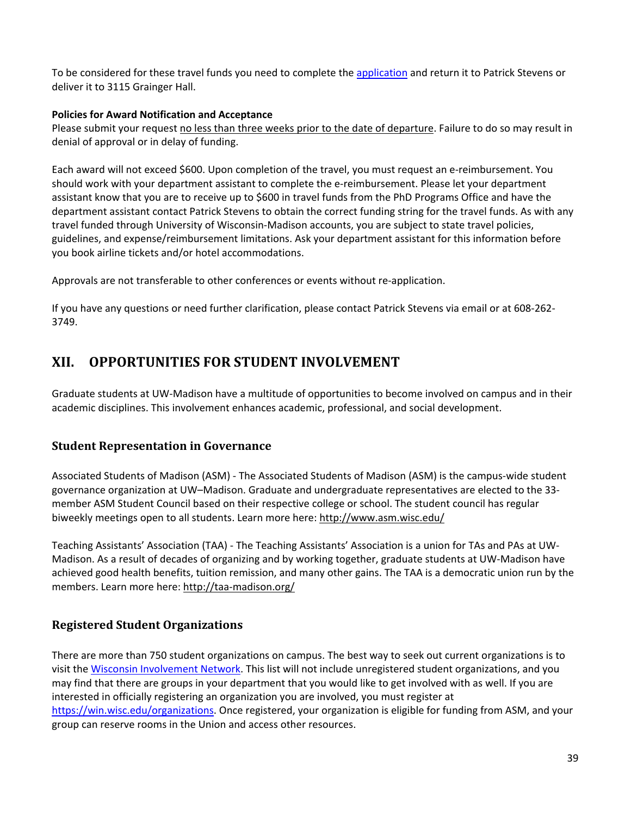To be considered for these travel funds you need to complete the [application](https://uwmadison.box.com/s/264lqgw1y3taa46jfixk9a8lciq2mwi2) and return it to Patrick Stevens or deliver it to 3115 Grainger Hall.

#### **Policies for Award Notification and Acceptance**

Please submit your request no less than three weeks prior to the date of departure. Failure to do so may result in denial of approval or in delay of funding.

Each award will not exceed \$600. Upon completion of the travel, you must request an e-reimbursement. You should work with your department assistant to complete the e-reimbursement. Please let your department assistant know that you are to receive up to \$600 in travel funds from the PhD Programs Office and have the department assistant contact Patrick Stevens to obtain the correct funding string for the travel funds. As with any travel funded through University of Wisconsin-Madison accounts, you are subject to state travel policies, guidelines, and expense/reimbursement limitations. Ask your department assistant for this information before you book airline tickets and/or hotel accommodations.

Approvals are not transferable to other conferences or events without re-application.

If you have any questions or need further clarification, please contact Patrick Stevens via [email](mailto:pjmiller@bus.wisc.edu) or at 608-262- 3749.

# <span id="page-39-0"></span>**XII. OPPORTUNITIES FOR STUDENT INVOLVEMENT**

Graduate students at UW-Madison have a multitude of opportunities to become involved on campus and in their academic disciplines. This involvement enhances academic, professional, and social development.

# <span id="page-39-1"></span>**Student Representation in Governance**

Associated Students of Madison (ASM) - The Associated Students of Madison (ASM) is the campus-wide student governance organization at UW–Madison. Graduate and undergraduate representatives are elected to the 33 member ASM Student Council based on their respective college or school. The student council has regular biweekly meetings open to all students. Learn more here:<http://www.asm.wisc.edu/>

Teaching Assistants' Association (TAA) - The Teaching Assistants' Association is a union for TAs and PAs at UW-Madison. As a result of decades of organizing and by working together, graduate students at UW-Madison have achieved good health benefits, tuition remission, and many other gains. The TAA is a democratic union run by the members. Learn more here:<http://taa-madison.org/>

# <span id="page-39-2"></span>**Registered Student Organizations**

There are more than 750 student organizations on campus. The best way to seek out current organizations is to visit the [Wisconsin Involvement Network.](https://win.wisc.edu/) This list will not include unregistered student organizations, and you may find that there are groups in your department that you would like to get involved with as well. If you are interested in officially registering an organization you are involved, you must register at [https://win.wisc.edu/organizations.](https://win.wisc.edu/organizations) Once registered, your organization is eligible for funding from ASM, and your group can reserve rooms in the Union and access other resources.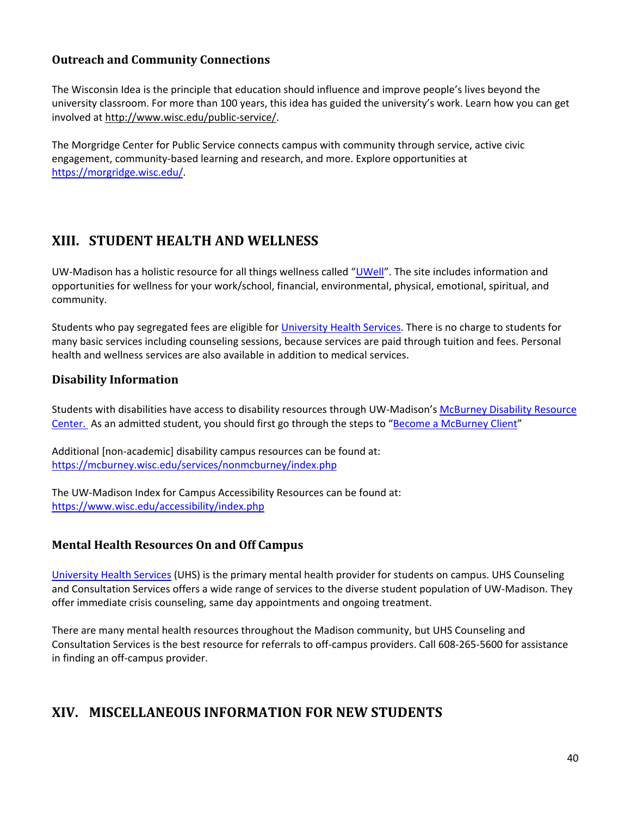# <span id="page-40-0"></span>**Outreach and Community Connections**

The Wisconsin Idea is the principle that education should influence and improve people's lives beyond the university classroom. For more than 100 years, this idea has guided the university's work. Learn how you can get involved at [http://www.wisc.edu/public-service/.](http://www.wisc.edu/public-service/)

The Morgridge Center for Public Service connects campus with community through service, active civic engagement, community-based learning and research, and more. Explore opportunities at [https://morgridge.wisc.edu/.](https://morgridge.wisc.edu/)

# <span id="page-40-1"></span>**XIII. STUDENT HEALTH AND WELLNESS**

UW-Madison has a holistic resource for all things wellness called ["UWell"](https://uwell.wisc.edu/). The site includes information and opportunities for wellness for your work/school, financial, environmental, physical, emotional, spiritual, and community.

Students who pay segregated fees are eligible for [University Health Services.](https://www.uhs.wisc.edu/) There is no charge to students for many basic services including counseling sessions, because services are paid through tuition and fees. Personal health and wellness services are also available in addition to medical services.

# <span id="page-40-2"></span>**Disability Information**

Students with disabilities have access to disability resources through UW-Madison's [McBurney Disability Resource](https://mcburney.wisc.edu/)  [Center.](https://mcburney.wisc.edu/) As an admitted student, you should first go through the steps to ["Become a McBurney Client"](https://mcburney.wisc.edu/students/howto.php)

Additional [non-academic] disability campus resources can be found at: <https://mcburney.wisc.edu/services/nonmcburney/index.php>

The UW-Madison Index for Campus Accessibility Resources can be found at: <https://www.wisc.edu/accessibility/index.php>

# <span id="page-40-3"></span>**Mental Health Resources On and Off Campus**

[University Health Services](https://www.uhs.wisc.edu/) (UHS) is the primary mental health provider for students on campus. UHS Counseling and Consultation Services offers a wide range of services to the diverse student population of UW-Madison. They offer immediate crisis counseling, same day appointments and ongoing treatment.

There are many mental health resources throughout the Madison community, but UHS Counseling and Consultation Services is the best resource for referrals to off-campus providers. Call 608-265-5600 for assistance in finding an off-campus provider.

# <span id="page-40-4"></span>**XIV. MISCELLANEOUS INFORMATION FOR NEW STUDENTS**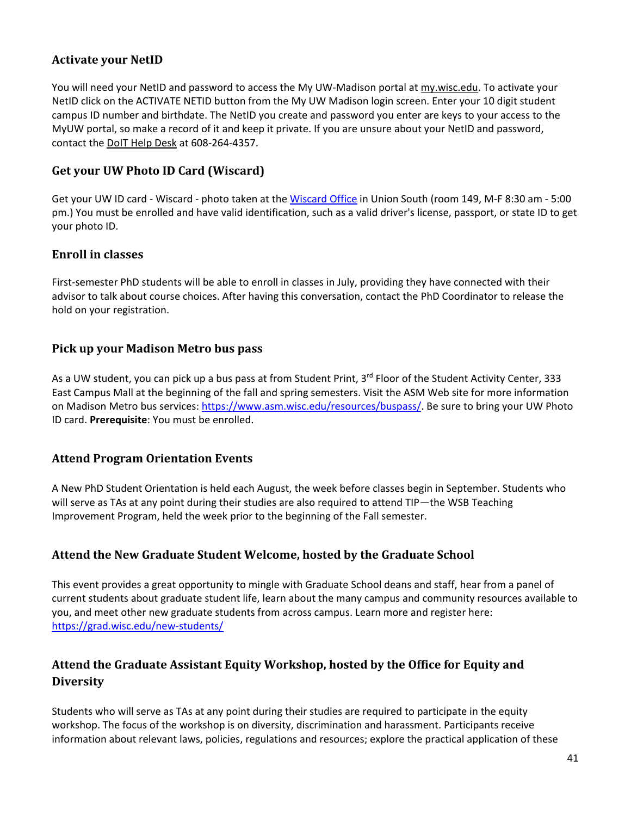# **Activate your NetID**

You will need your NetID and password to access the My UW-Madison portal at [my.wisc.edu.](http://my.wisc.edu/) To activate your NetID click on the ACTIVATE NETID button from the My UW Madison login screen. Enter your 10 digit student campus ID number and birthdate. The NetID you create and password you enter are keys to your access to the MyUW portal, so make a record of it and keep it private. If you are unsure about your NetID and password, contact the [DoIT Help Desk](https://kb.wisc.edu/helpdesk/) at 608-264-4357.

# **Get your UW Photo ID Card (Wiscard)**

Get your UW ID card - Wiscard - photo taken at the [Wiscard Office](https://wiscard.wisc.edu/contact-wiscard/) in Union South (room 149, M-F 8:30 am - 5:00 pm.) You must be enrolled and have valid identification, such as a valid driver's license, passport, or state ID to get your photo ID.

## **Enroll in classes**

First-semester PhD students will be able to enroll in classes in July, providing they have connected with their advisor to talk about course choices. After having this conversation, contact the PhD Coordinator to release the hold on your registration.

## <span id="page-41-0"></span>**Pick up your Madison Metro bus pass**

As a UW student, you can pick up a bus pass at from Student Print, 3rd Floor of the Student Activity Center, 333 East Campus Mall at the beginning of the fall and spring semesters. Visit the ASM Web site for more information on Madison Metro bus services: [https://www.asm.wisc.edu/resources/buspass/.](https://www.asm.wisc.edu/resources/buspass/) Be sure to bring your UW Photo ID card. **Prerequisite**: You must be enrolled.

# <span id="page-41-1"></span>**Attend Program Orientation Events**

A New PhD Student Orientation is held each August, the week before classes begin in September. Students who will serve as TAs at any point during their studies are also required to attend TIP—the WSB Teaching Improvement Program, held the week prior to the beginning of the Fall semester.

# <span id="page-41-2"></span>**Attend the New Graduate Student Welcome, hosted by the Graduate School**

This event provides a great opportunity to mingle with Graduate School deans and staff, hear from a panel of current students about graduate student life, learn about the many campus and community resources available to you, and meet other new graduate students from across campus. Learn more and register here: <https://grad.wisc.edu/new-students/>

# <span id="page-41-3"></span>**Attend the Graduate Assistant Equity Workshop, hosted by the Office for Equity and Diversity**

Students who will serve as TAs at any point during their studies are required to participate in the equity workshop. The focus of the workshop is on diversity, discrimination and harassment. Participants receive information about relevant laws, policies, regulations and resources; explore the practical application of these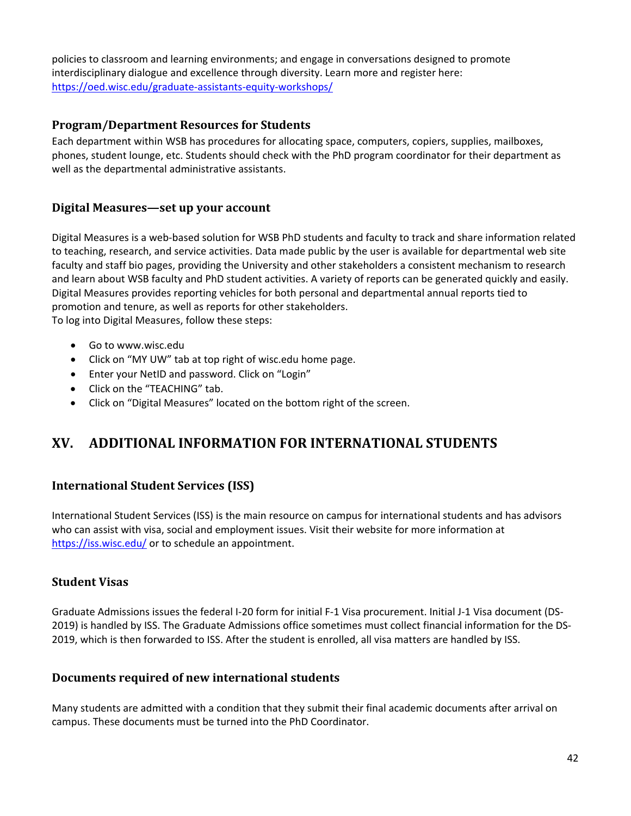policies to classroom and learning environments; and engage in conversations designed to promote interdisciplinary dialogue and excellence through diversity. Learn more and register here: <https://oed.wisc.edu/graduate-assistants-equity-workshops/>

## <span id="page-42-0"></span>**Program/Department Resources for Students**

Each department within WSB has procedures for allocating space, computers, copiers, supplies, mailboxes, phones, student lounge, etc. Students should check with the PhD program coordinator for their department as well as the departmental administrative assistants.

## <span id="page-42-1"></span>**Digital Measures—set up your account**

Digital Measures is a web-based solution for WSB PhD students and faculty to track and share information related to teaching, research, and service activities. Data made public by the user is available for departmental web site faculty and staff bio pages, providing the University and other stakeholders a consistent mechanism to research and learn about WSB faculty and PhD student activities. A variety of reports can be generated quickly and easily. Digital Measures provides reporting vehicles for both personal and departmental annual reports tied to promotion and tenure, as well as reports for other stakeholders. To log into Digital Measures, follow these steps:

- Go to www.wisc.edu
- Click on "MY UW" tab at top right of wisc.edu home page.
- Enter your NetID and password. Click on "Login"
- Click on the "TEACHING" tab.
- Click on "Digital Measures" located on the bottom right of the screen.

# <span id="page-42-2"></span>**XV. ADDITIONAL INFORMATION FOR INTERNATIONAL STUDENTS**

# <span id="page-42-3"></span>**International Student Services (ISS)**

International Student Services (ISS) is the main resource on campus for international students and has advisors who can assist with visa, social and employment issues. Visit their website for more information at <https://iss.wisc.edu/> or to schedule an appointment.

## <span id="page-42-4"></span>**Student Visas**

Graduate Admissions issues the federal I-20 form for initial F-1 Visa procurement. Initial J-1 Visa document (DS-2019) is handled by ISS. The Graduate Admissions office sometimes must collect financial information for the DS-2019, which is then forwarded to ISS. After the student is enrolled, all visa matters are handled by ISS.

#### <span id="page-42-5"></span>**Documents required of new international students**

Many students are admitted with a condition that they submit their final academic documents after arrival on campus. These documents must be turned into the PhD Coordinator.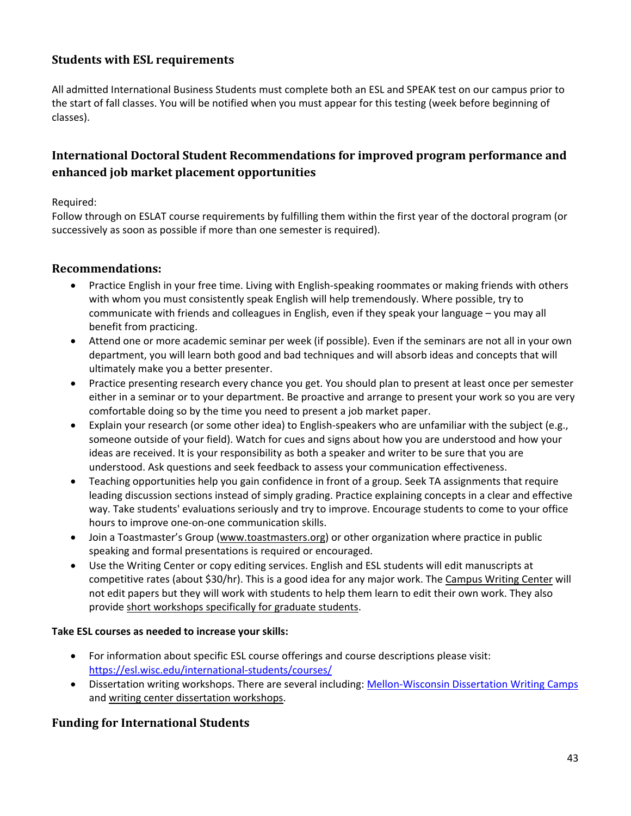# <span id="page-43-0"></span>**Students with ESL requirements**

All admitted International Business Students must complete both an ESL and SPEAK test on our campus prior to the start of fall classes. You will be notified when you must appear for this testing (week before beginning of classes).

# <span id="page-43-1"></span>**International Doctoral Student Recommendations for improved program performance and enhanced job market placement opportunities**

#### Required:

Follow through on ESLAT course requirements by fulfilling them within the first year of the doctoral program (or successively as soon as possible if more than one semester is required).

## <span id="page-43-2"></span>**Recommendations:**

- Practice English in your free time. Living with English-speaking roommates or making friends with others with whom you must consistently speak English will help tremendously. Where possible, try to communicate with friends and colleagues in English, even if they speak your language – you may all benefit from practicing.
- Attend one or more academic seminar per week (if possible). Even if the seminars are not all in your own department, you will learn both good and bad techniques and will absorb ideas and concepts that will ultimately make you a better presenter.
- Practice presenting research every chance you get. You should plan to present at least once per semester either in a seminar or to your department. Be proactive and arrange to present your work so you are very comfortable doing so by the time you need to present a job market paper.
- Explain your research (or some other idea) to English-speakers who are unfamiliar with the subject (e.g., someone outside of your field). Watch for cues and signs about how you are understood and how your ideas are received. It is your responsibility as both a speaker and writer to be sure that you are understood. Ask questions and seek feedback to assess your communication effectiveness.
- Teaching opportunities help you gain confidence in front of a group. Seek TA assignments that require leading discussion sections instead of simply grading. Practice explaining concepts in a clear and effective way. Take students' evaluations seriously and try to improve. Encourage students to come to your office hours to improve one-on-one communication skills.
- Join a Toastmaster's Group [\(www.toastmasters.org\)](http://www.toastmasters.org/) or other organization where practice in public speaking and formal presentations is required or encouraged.
- Use the Writing Center or copy editing services. English and ESL students will edit manuscripts at competitive rates (about \$30/hr). This is a good idea for any major work. The [Campus Writing Center](http://www.writing.wisc.edu/) will not edit papers but they will work with students to help them learn to edit their own work. They also provide [short workshops specifically for graduate students.](http://www.writing.wisc.edu/Workshops/index_workshops.html#gradprof)

#### **Take ESL courses as needed to increase your skills:**

- For information about specific ESL course offerings and course descriptions please visit: <https://esl.wisc.edu/international-students/courses/>
- Dissertation writing workshops. There are several including: [Mellon-Wisconsin Dissertation Writing Camps](https://grad.wisc.edu/current-students/dissertation/) an[d writing center dissertation workshops.](http://www.writing.wisc.edu/Workshops/index_workshops.html#gradprof)

# <span id="page-43-3"></span>**Funding for International Students**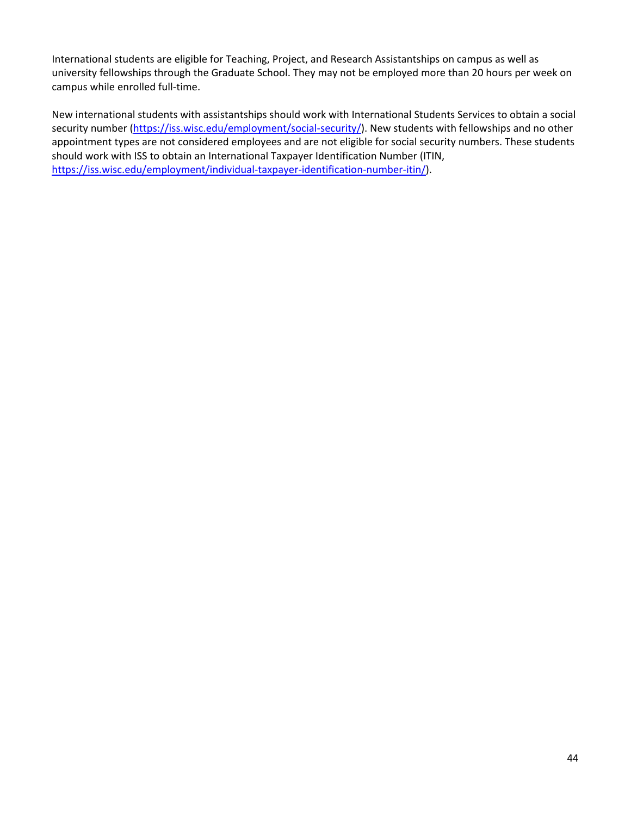International students are eligible for Teaching, Project, and Research Assistantships on campus as well as university fellowships through the Graduate School. They may not be employed more than 20 hours per week on campus while enrolled full-time.

<span id="page-44-0"></span>New international students with assistantships should work with International Students Services to obtain a social security number [\(https://iss.wisc.edu/employment/social-security/\)](https://iss.wisc.edu/employment/social-security/). New students with fellowships and no other appointment types are not considered employees and are not eligible for social security numbers. These students should work with ISS to obtain an International Taxpayer Identification Number (ITIN, [https://iss.wisc.edu/employment/individual-taxpayer-identification-number-itin/\)](https://iss.wisc.edu/employment/individual-taxpayer-identification-number-itin/).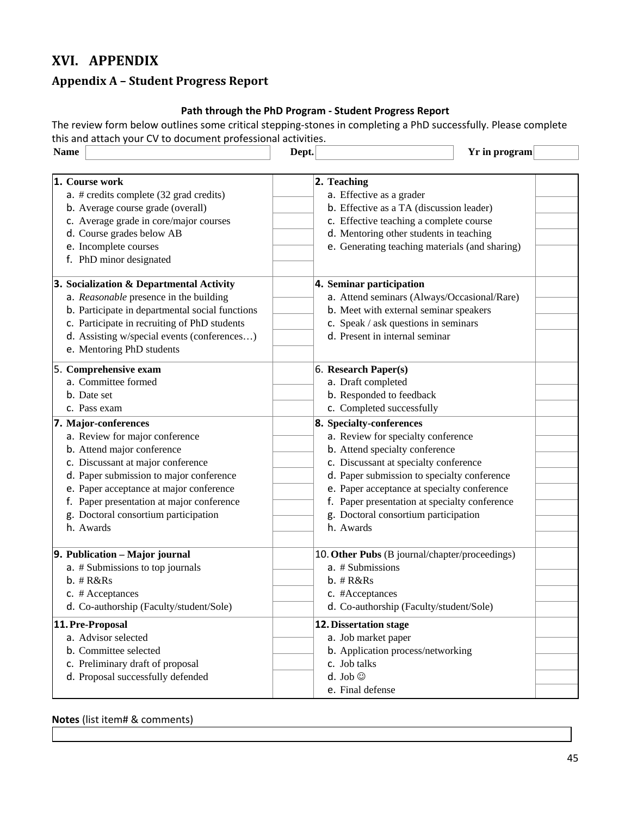# **XVI. APPENDIX**

# <span id="page-45-0"></span>**Appendix A – Student Progress Report**

## **Path through the PhD Program - Student Progress Report**

The review form below outlines some critical stepping-stones in completing a PhD successfully. Please complete this and attach your CV to document professional activities.

| <b>Name</b>                                                                                                                                                                                                                                                                               | Dept.<br>Yr in program                                                                                                                                                                                                                                                                                            |
|-------------------------------------------------------------------------------------------------------------------------------------------------------------------------------------------------------------------------------------------------------------------------------------------|-------------------------------------------------------------------------------------------------------------------------------------------------------------------------------------------------------------------------------------------------------------------------------------------------------------------|
| <b>1. Course work</b><br>$a.$ # credits complete (32 grad credits)<br>b. Average course grade (overall)<br>c. Average grade in core/major courses<br>d. Course grades below AB<br>e. Incomplete courses<br>f. PhD minor designated                                                        | 2. Teaching<br>a. Effective as a grader<br>b. Effective as a TA (discussion leader)<br>c. Effective teaching a complete course<br>d. Mentoring other students in teaching<br>e. Generating teaching materials (and sharing)                                                                                       |
| 3. Socialization & Departmental Activity<br>a. Reasonable presence in the building<br>b. Participate in departmental social functions<br>c. Participate in recruiting of PhD students<br>d. Assisting w/special events (conferences)<br>e. Mentoring PhD students                         | 4. Seminar participation<br>a. Attend seminars (Always/Occasional/Rare)<br>b. Meet with external seminar speakers<br>c. Speak / ask questions in seminars<br>d. Present in internal seminar                                                                                                                       |
| 5. Comprehensive exam<br>a. Committee formed<br>b. Date set<br>c. Pass exam<br>7. Major-conferences                                                                                                                                                                                       | 6. Research Paper(s)<br>a. Draft completed<br>b. Responded to feedback<br>c. Completed successfully<br>8. Specialty-conferences                                                                                                                                                                                   |
| a. Review for major conference<br>b. Attend major conference<br>c. Discussant at major conference<br>d. Paper submission to major conference<br>e. Paper acceptance at major conference<br>f. Paper presentation at major conference<br>g. Doctoral consortium participation<br>h. Awards | a. Review for specialty conference<br>b. Attend specialty conference<br>c. Discussant at specialty conference<br>d. Paper submission to specialty conference<br>e. Paper acceptance at specialty conference<br>f. Paper presentation at specialty conference<br>g. Doctoral consortium participation<br>h. Awards |
| 9. Publication - Major journal<br>a. # Submissions to top journals<br>$b.$ # $R&Rs$<br>c. # Acceptances<br>d. Co-authorship (Faculty/student/Sole)                                                                                                                                        | 10. Other Pubs (B journal/chapter/proceedings)<br>a. # Submissions<br>$b.$ # $R&Rs$<br>c. #Acceptances<br>d. Co-authorship (Faculty/student/Sole)                                                                                                                                                                 |
| 11. Pre-Proposal<br>a. Advisor selected<br>b. Committee selected<br>c. Preliminary draft of proposal<br>d. Proposal successfully defended                                                                                                                                                 | <b>12. Dissertation stage</b><br>a. Job market paper<br>b. Application process/networking<br>c. Job talks<br>d. Job $\circledcirc$<br>e. Final defense                                                                                                                                                            |

#### **Notes** (list item# & comments)